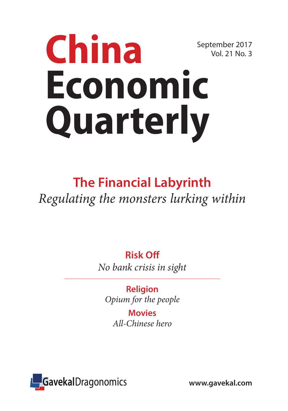# September 2017 Vol. 21 No. 3 **China Economic Quarterly**

# **The Financial Labyrinth** *Regulating the monsters lurking within*

**Risk Off** *No bank crisis in sight*

**Religion** *Opium for the people*

> **Movies** *All-Chinese hero*

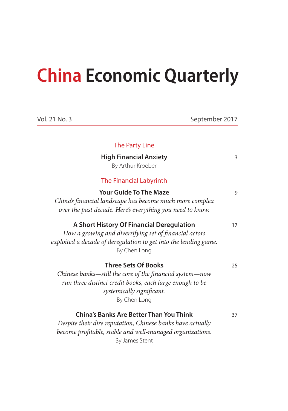# **China Economic Quarterly**

| Vol. 21 No. 3 |                                                                                                                                                                                                 | September 2017 |
|---------------|-------------------------------------------------------------------------------------------------------------------------------------------------------------------------------------------------|----------------|
|               | <b>The Party Line</b>                                                                                                                                                                           |                |
|               | <b>High Financial Anxiety</b><br>By Arthur Kroeber                                                                                                                                              | 3              |
|               | The Financial Labyrinth                                                                                                                                                                         |                |
|               | <b>Your Guide To The Maze</b><br>China's financial landscape has become much more complex<br>over the past decade. Here's everything you need to know.                                          | 9              |
|               | A Short History Of Financial Deregulation<br>How a growing and diversifying set of financial actors<br>exploited a decade of deregulation to get into the lending game.<br>By Chen Long         | 17             |
|               | <b>Three Sets Of Books</b><br>Chinese banks—still the core of the financial system—now<br>run three distinct credit books, each large enough to be<br>systemically significant.<br>By Chen Long | 25             |
|               | <b>China's Banks Are Better Than You Think</b><br>Despite their dire reputation, Chinese banks have actually<br>become profitable, stable and well-managed organizations.<br>By James Stent     | 37             |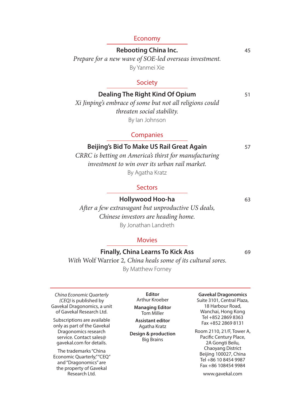#### Economy

**Rebooting China Inc.** 45 *Prepare for a new wave of SOE-led overseas investment.*

By Yanmei Xie

#### Society

**Dealing The Right Kind Of Opium** 51 *Xi Jinping's embrace of some but not all religions could threaten social stability.*  By Ian Johnson

#### Companies

**Beijing's Bid To Make US Rail Great Again** 57

*CRRC is betting on America's thirst for manufacturing investment to win over its urban rail market.* By Agatha Kratz

#### **Sectors**

**Hollywood Hoo-ha** 63

*After a few extravagant but unproductive US deals, Chinese investors are heading home.* By Jonathan Landreth

#### Movies

#### **Finally, China Learns To Kick Ass** 69

*With* Wolf Warrior 2*, China heals some of its cultural sores.* By Matthew Forney

*China Economic Quarterly (CEQ)* is published by Gavekal Dragonomics, a unit of Gavekal Research Ltd.

Subscriptions are available only as part of the Gavekal Dragonomics research service. Contact sales@ gavekal.com for details.

The trademarks "China Economic Quarterly," "CEQ" and "Dragonomics" are the property of Gavekal Research Ltd.

**Editor** Arthur Kroeber **Managing Editor** Tom Miller

**Assistant editor** Agatha Kratz

**Design & production** Big Brains

**Gavekal Dragonomics**

Suite 3101, Central Plaza, 18 Harbour Road, Wanchai, Hong Kong Tel +852 2869 8363 Fax +852 2869 8131

Room 2110, 21/F, Tower A, Pacific Century Place, 2A Gongti Beilu, Chaoyang District Beijing 100027, China Tel +86 10 8454 9987 Fax +86 108454 9984

www.gavekal.com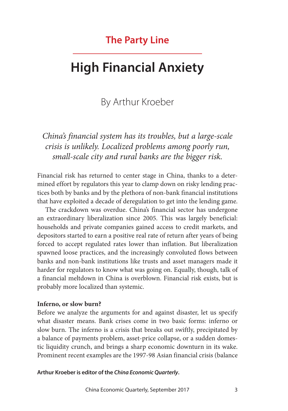### **The Party Line**

# **High Financial Anxiety**

### By Arthur Kroeber

*China's financial system has its troubles, but a large-scale crisis is unlikely. Localized problems among poorly run, small-scale city and rural banks are the bigger risk.*

Financial risk has returned to center stage in China, thanks to a determined effort by regulators this year to clamp down on risky lending practices both by banks and by the plethora of non-bank financial institutions that have exploited a decade of deregulation to get into the lending game.

The crackdown was overdue. China's financial sector has undergone an extraordinary liberalization since 2005. This was largely beneficial: households and private companies gained access to credit markets, and depositors started to earn a positive real rate of return after years of being forced to accept regulated rates lower than inflation. But liberalization spawned loose practices, and the increasingly convoluted flows between banks and non-bank institutions like trusts and asset managers made it harder for regulators to know what was going on. Equally, though, talk of a financial meltdown in China is overblown. Financial risk exists, but is probably more localized than systemic.

#### **Inferno, or slow burn?**

Before we analyze the arguments for and against disaster, let us specify what disaster means. Bank crises come in two basic forms: inferno or slow burn. The inferno is a crisis that breaks out swiftly, precipitated by a balance of payments problem, asset-price collapse, or a sudden domestic liquidity crunch, and brings a sharp economic downturn in its wake. Prominent recent examples are the 1997-98 Asian financial crisis (balance

**Arthur Kroeber is editor of the** *China Economic Quarterly***.**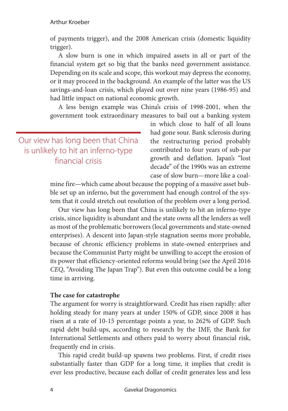of payments trigger), and the 2008 American crisis (domestic liquidity trigger).

A slow burn is one in which impaired assets in all or part of the financial system get so big that the banks need government assistance. Depending on its scale and scope, this workout may depress the economy, or it may proceed in the background. An example of the latter was the US savings-and-loan crisis, which played out over nine years (1986-95) and had little impact on national economic growth.

A less benign example was China's crisis of 1998-2001, when the government took extraordinary measures to bail out a banking system

Our view has long been that China is unlikely to hit an inferno-type financial crisis

in which close to half of all loans had gone sour. Bank sclerosis during the restructuring period probably contributed to four years of sub-par growth and deflation. Japan's "lost decade" of the 1990s was an extreme case of slow burn—more like a coal-

mine fire—which came about because the popping of a massive asset bubble set up an inferno, but the government had enough control of the system that it could stretch out resolution of the problem over a long period.

Our view has long been that China is unlikely to hit an inferno-type crisis, since liquidity is abundant and the state owns all the lenders as well as most of the problematic borrowers (local governments and state-owned enterprises). A descent into Japan-style stagnation seems more probable, because of chronic efficiency problems in state-owned enterprises and because the Communist Party might be unwilling to accept the erosion of its power that efficiency-oriented reforms would bring (see the April 2016 *CEQ*, "Avoiding The Japan Trap"). But even this outcome could be a long time in arriving.

#### **The case for catastrophe**

The argument for worry is straightforward. Credit has risen rapidly: after holding steady for many years at under 150% of GDP, since 2008 it has risen at a rate of 10-15 percentage points a year, to 262% of GDP. Such rapid debt build-ups, according to research by the IMF, the Bank for International Settlements and others paid to worry about financial risk, frequently end in crisis.

This rapid credit build-up spawns two problems. First, if credit rises substantially faster than GDP for a long time, it implies that credit is ever less productive, because each dollar of credit generates less and less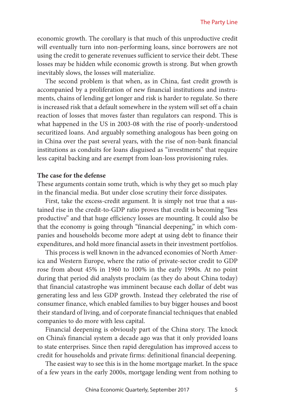economic growth. The corollary is that much of this unproductive credit will eventually turn into non-performing loans, since borrowers are not using the credit to generate revenues sufficient to service their debt. These losses may be hidden while economic growth is strong. But when growth inevitably slows, the losses will materialize.

The second problem is that when, as in China, fast credit growth is accompanied by a proliferation of new financial institutions and instruments, chains of lending get longer and risk is harder to regulate. So there is increased risk that a default somewhere in the system will set off a chain reaction of losses that moves faster than regulators can respond. This is what happened in the US in 2003-08 with the rise of poorly-understood securitized loans. And arguably something analogous has been going on in China over the past several years, with the rise of non-bank financial institutions as conduits for loans disguised as "investments" that require less capital backing and are exempt from loan-loss provisioning rules.

#### **The case for the defense**

These arguments contain some truth, which is why they get so much play in the financial media. But under close scrutiny their force dissipates.

First, take the excess-credit argument. It is simply not true that a sustained rise in the credit-to-GDP ratio proves that credit is becoming "less productive" and that huge efficiency losses are mounting. It could also be that the economy is going through "financial deepening," in which companies and households become more adept at using debt to finance their expenditures, and hold more financial assets in their investment portfolios.

This process is well known in the advanced economies of North America and Western Europe, where the ratio of private-sector credit to GDP rose from about 45% in 1960 to 100% in the early 1990s. At no point during that period did analysts proclaim (as they do about China today) that financial catastrophe was imminent because each dollar of debt was generating less and less GDP growth. Instead they celebrated the rise of consumer finance, which enabled families to buy bigger houses and boost their standard of living, and of corporate financial techniques that enabled companies to do more with less capital.

Financial deepening is obviously part of the China story. The knock on China's financial system a decade ago was that it only provided loans to state enterprises. Since then rapid deregulation has improved access to credit for households and private firms: definitional financial deepening.

The easiest way to see this is in the home mortgage market. In the space of a few years in the early 2000s, mortgage lending went from nothing to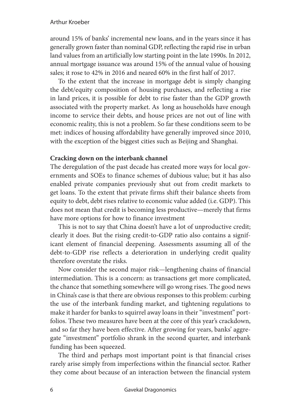#### Arthur Kroeber

around 15% of banks' incremental new loans, and in the years since it has generally grown faster than nominal GDP, reflecting the rapid rise in urban land values from an artificially low starting point in the late 1990s. In 2012, annual mortgage issuance was around 15% of the annual value of housing sales; it rose to 42% in 2016 and neared 60% in the first half of 2017.

To the extent that the increase in mortgage debt is simply changing the debt/equity composition of housing purchases, and reflecting a rise in land prices, it is possible for debt to rise faster than the GDP growth associated with the property market. As long as households have enough income to service their debts, and house prices are not out of line with economic reality, this is not a problem. So far these conditions seem to be met: indices of housing affordability have generally improved since 2010, with the exception of the biggest cities such as Beijing and Shanghai.

#### **Cracking down on the interbank channel**

The deregulation of the past decade has created more ways for local governments and SOEs to finance schemes of dubious value; but it has also enabled private companies previously shut out from credit markets to get loans. To the extent that private firms shift their balance sheets from equity to debt, debt rises relative to economic value added (i.e. GDP). This does not mean that credit is becoming less productive—merely that firms have more options for how to finance investment

This is not to say that China doesn't have a lot of unproductive credit; clearly it does. But the rising credit-to-GDP ratio also contains a significant element of financial deepening. Assessments assuming all of the debt-to-GDP rise reflects a deterioration in underlying credit quality therefore overstate the risks.

Now consider the second major risk—lengthening chains of financial intermediation. This is a concern: as transactions get more complicated, the chance that something somewhere will go wrong rises. The good news in China's case is that there are obvious responses to this problem: curbing the use of the interbank funding market, and tightening regulations to make it harder for banks to squirrel away loans in their "investment" portfolios. These two measures have been at the core of this year's crackdown, and so far they have been effective. After growing for years, banks' aggregate "investment" portfolio shrank in the second quarter, and interbank funding has been squeezed.

The third and perhaps most important point is that financial crises rarely arise simply from imperfections within the financial sector. Rather they come about because of an interaction between the financial system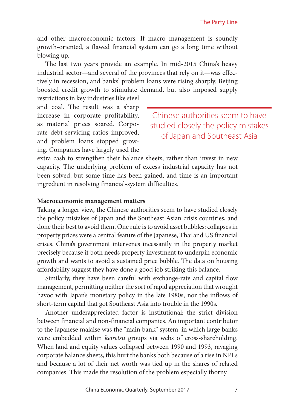and other macroeconomic factors. If macro management is soundly growth-oriented, a flawed financial system can go a long time without blowing up.

The last two years provide an example. In mid-2015 China's heavy industrial sector—and several of the provinces that rely on it—was effectively in recession, and banks' problem loans were rising sharply. Beijing boosted credit growth to stimulate demand, but also imposed supply restrictions in key industries like steel

and coal. The result was a sharp increase in corporate profitability, as material prices soared. Corporate debt-servicing ratios improved, and problem loans stopped growing. Companies have largely used the

Chinese authorities seem to have studied closely the policy mistakes of Japan and Southeast Asia

extra cash to strengthen their balance sheets, rather than invest in new capacity. The underlying problem of excess industrial capacity has not been solved, but some time has been gained, and time is an important ingredient in resolving financial-system difficulties.

#### **Macroeconomic management matters**

Taking a longer view, the Chinese authorities seem to have studied closely the policy mistakes of Japan and the Southeast Asian crisis countries, and done their best to avoid them. One rule is to avoid asset bubbles: collapses in property prices were a central feature of the Japanese, Thai and US financial crises. China's government intervenes incessantly in the property market precisely because it both needs property investment to underpin economic growth and wants to avoid a sustained price bubble. The data on housing affordability suggest they have done a good job striking this balance.

Similarly, they have been careful with exchange-rate and capital flow management, permitting neither the sort of rapid appreciation that wrought havoc with Japan's monetary policy in the late 1980s, nor the inflows of short-term capital that got Southeast Asia into trouble in the 1990s.

Another underappreciated factor is institutional: the strict division between financial and non-financial companies. An important contributor to the Japanese malaise was the "main bank" system, in which large banks were embedded within *keiretsu* groups via webs of cross-shareholding. When land and equity values collapsed between 1990 and 1993, ravaging corporate balance sheets, this hurt the banks both because of a rise in NPLs and because a lot of their net worth was tied up in the shares of related companies. This made the resolution of the problem especially thorny.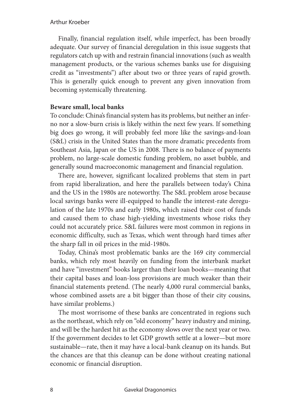Finally, financial regulation itself, while imperfect, has been broadly adequate. Our survey of financial deregulation in this issue suggests that regulators catch up with and restrain financial innovations (such as wealth management products, or the various schemes banks use for disguising credit as "investments") after about two or three years of rapid growth. This is generally quick enough to prevent any given innovation from becoming systemically threatening.

#### **Beware small, local banks**

To conclude: China's financial system has its problems, but neither an inferno nor a slow-burn crisis is likely within the next few years. If something big does go wrong, it will probably feel more like the savings-and-loan (S&L) crisis in the United States than the more dramatic precedents from Southeast Asia, Japan or the US in 2008. There is no balance of payments problem, no large-scale domestic funding problem, no asset bubble, and generally sound macroeconomic management and financial regulation.

There are, however, significant localized problems that stem in part from rapid liberalization, and here the parallels between today's China and the US in the 1980s are noteworthy. The S&L problem arose because local savings banks were ill-equipped to handle the interest-rate deregulation of the late 1970s and early 1980s, which raised their cost of funds and caused them to chase high-yielding investments whose risks they could not accurately price. S&L failures were most common in regions in economic difficulty, such as Texas, which went through hard times after the sharp fall in oil prices in the mid-1980s.

Today, China's most problematic banks are the 169 city commercial banks, which rely most heavily on funding from the interbank market and have "investment" books larger than their loan books—meaning that their capital bases and loan-loss provisions are much weaker than their financial statements pretend. (The nearly 4,000 rural commercial banks, whose combined assets are a bit bigger than those of their city cousins, have similar problems.)

The most worrisome of these banks are concentrated in regions such as the northeast, which rely on "old economy" heavy industry and mining, and will be the hardest hit as the economy slows over the next year or two. If the government decides to let GDP growth settle at a lower—but more sustainable—rate, then it may have a local-bank cleanup on its hands. But the chances are that this cleanup can be done without creating national economic or financial disruption.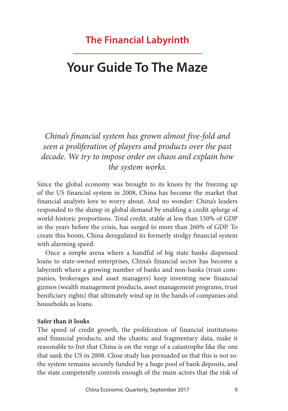### **The Financial Labyrinth**

## **Your Guide To The Maze**

*China's financial system has grown almost five-fold and seen a proliferation of players and products over the past decade. We try to impose order on chaos and explain how the system works.*

Since the global economy was brought to its knees by the freezing up of the US financial system in 2008, China has become the market that financial analysts love to worry about. And no wonder: China's leaders responded to the slump in global demand by enabling a credit splurge of world-historic proportions. Total credit, stable at less than 150% of GDP in the years before the crisis, has surged to more than 260% of GDP. To create this boom, China deregulated its formerly stodgy financial system with alarming speed.

Once a simple arena where a handful of big state banks dispensed loans to state-owned enterprises, China's financial sector has become a labyrinth where a growing number of banks and non-banks (trust companies, brokerages and asset managers) keep inventing new financial gizmos (wealth management products, asset management programs, trust benificiary rights) that ultimately wind up in the hands of companies and households as loans.

#### **Safer than it looks**

The speed of credit growth, the proliferation of financial institutions and financial products, and the chaotic and fragmentary data, make it reasonable to fret that China is on the verge of a catastrophe like the one that sank the US in 2008. Close study has persuaded us that this is not so: the system remains securely funded by a huge pool of bank deposits, and the state competently controls enough of the main actors that the risk of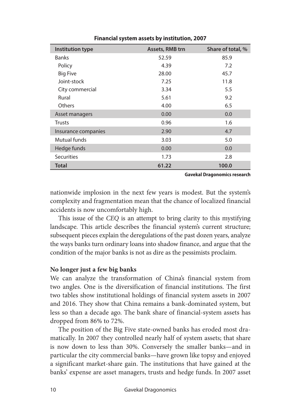| <b>Institution type</b> | <b>Assets, RMB trn</b> | Share of total, % |
|-------------------------|------------------------|-------------------|
| <b>Banks</b>            | 52.59                  | 85.9              |
| Policy                  | 4.39                   | 7.2               |
| <b>Big Five</b>         | 28.00                  | 45.7              |
| Joint-stock             | 7.25                   | 11.8              |
| City commercial         | 3.34                   | 5.5               |
| Rural                   | 5.61                   | 9.2               |
| <b>Others</b>           | 4.00                   | 6.5               |
| Asset managers          | 0.00                   | 0.0               |
| <b>Trusts</b>           | 0.96                   | 1.6               |
| Insurance companies     | 2.90                   | 4.7               |
| Mutual funds            | 3.03                   | 5.0               |
| Hedge funds             | 0.00                   | 0.0               |
| <b>Securities</b>       | 1.73                   | 2.8               |
| <b>Total</b>            | 61.22                  | 100.0             |

**Financial system assets by institution, 2007**

**Gavekal Dragonomics research**

nationwide implosion in the next few years is modest. But the system's complexity and fragmentation mean that the chance of localized financial accidents is now uncomfortably high.

This issue of the *CEQ* is an attempt to bring clarity to this mystifying landscape. This article describes the financial system's current structure; subsequent pieces explain the deregulations of the past dozen years, analyze the ways banks turn ordinary loans into shadow finance, and argue that the condition of the major banks is not as dire as the pessimists proclaim.

#### **No longer just a few big banks**

We can analyze the transformation of China's financial system from two angles. One is the diversification of financial institutions. The first two tables show institutional holdings of financial system assets in 2007 and 2016. They show that China remains a bank-dominated system, but less so than a decade ago. The bank share of financial-system assets has dropped from 86% to 72%.

The position of the Big Five state-owned banks has eroded most dramatically. In 2007 they controlled nearly half of system assets; that share is now down to less than 30%. Conversely the smaller banks—and in particular the city commercial banks—have grown like topsy and enjoyed a significant market-share gain. The institutions that have gained at the banks' expense are asset managers, trusts and hedge funds. In 2007 asset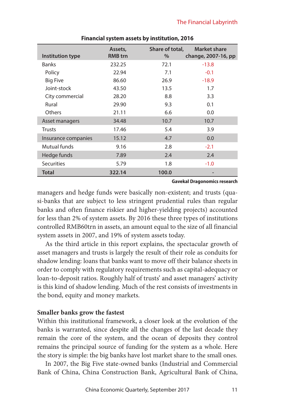| Institution type    | Assets,<br><b>RMB</b> trn | Share of total,<br>$\%$ | <b>Market share</b><br>change, 2007-16, pp |
|---------------------|---------------------------|-------------------------|--------------------------------------------|
| <b>Banks</b>        | 232.25                    | 72.1                    | $-13.8$                                    |
| Policy              | 22.94                     | 7.1                     | $-0.1$                                     |
| <b>Big Five</b>     | 86.60                     | 26.9                    | $-18.9$                                    |
| Joint-stock         | 43.50                     | 13.5                    | 1.7                                        |
| City commercial     | 28.20                     | 8.8                     | 3.3                                        |
| Rural               | 29.90                     | 9.3                     | 0.1                                        |
| <b>Others</b>       | 21.11                     | 6.6                     | 0.0                                        |
| Asset managers      | 34.48                     | 10.7                    | 10.7                                       |
| <b>Trusts</b>       | 17.46                     | 5.4                     | 3.9                                        |
| Insurance companies | 15.12                     | 4.7                     | 0.0                                        |
| Mutual funds        | 9.16                      | 2.8                     | $-2.1$                                     |
| Hedge funds         | 7.89                      | 2.4                     | 2.4                                        |
| <b>Securities</b>   | 5.79                      | 1.8                     | $-1.0$                                     |
| <b>Total</b>        | 322.14                    | 100.0                   |                                            |

#### **Financial system assets by institution, 2016**

**Gavekal Dragonomics research**

managers and hedge funds were basically non-existent; and trusts (quasi-banks that are subject to less stringent prudential rules than regular banks and often finance riskier and higher-yielding projects) accounted for less than 2% of system assets. By 2016 these three types of institutions controlled RMB60trn in assets, an amount equal to the size of all financial system assets in 2007, and 19% of system assets today.

As the third article in this report explains, the spectacular growth of asset managers and trusts is largely the result of their role as conduits for shadow lending: loans that banks want to move off their balance sheets in order to comply with regulatory requirements such as capital-adequacy or loan-to-deposit ratios. Roughly half of trusts' and asset managers' activity is this kind of shadow lending. Much of the rest consists of investments in the bond, equity and money markets.

#### **Smaller banks grow the fastest**

Within this institutional framework, a closer look at the evolution of the banks is warranted, since despite all the changes of the last decade they remain the core of the system, and the ocean of deposits they control remains the principal source of funding for the system as a whole. Here the story is simple: the big banks have lost market share to the small ones.

In 2007, the Big Five state-owned banks (Industrial and Commercial Bank of China, China Construction Bank, Agricultural Bank of China,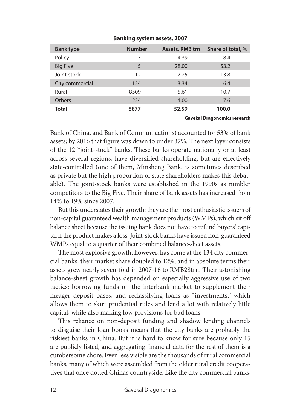| <b>Bank type</b> | <b>Number</b> | <b>Assets, RMB trn</b> | Share of total, % |
|------------------|---------------|------------------------|-------------------|
| Policy           | 3             | 4.39                   | 8.4               |
| <b>Big Five</b>  | 5             | 28.00                  | 53.2              |
| Joint-stock      | 12            | 7.25                   | 13.8              |
| City commercial  | 124           | 3.34                   | 6.4               |
| Rural            | 8509          | 5.61                   | 10.7              |
| <b>Others</b>    | 224           | 4.00                   | 7.6               |
| Total            | 8877          | 52.59                  | 100.0             |

**Banking system assets, 2007**

#### **Gavekal Dragonomics research**

Bank of China, and Bank of Communications) accounted for 53% of bank assets; by 2016 that figure was down to under 37%. The next layer consists of the 12 "joint-stock" banks. These banks operate nationally or at least across several regions, have diversified shareholding, but are effectively state-controlled (one of them, Minsheng Bank, is sometimes described as private but the high proportion of state shareholders makes this debatable). The joint-stock banks were established in the 1990s as nimbler competitors to the Big Five. Their share of bank assets has increased from 14% to 19% since 2007.

But this understates their growth: they are the most enthusiastic issuers of non-capital guaranteed wealth management products (WMPs), which sit off balance sheet because the issuing bank does not have to refund buyers' capital if the product makes a loss. Joint-stock banks have issued non-guaranteed WMPs equal to a quarter of their combined balance-sheet assets.

The most explosive growth, however, has come at the 134 city commercial banks: their market share doubled to 12%, and in absolute terms their assets grew nearly seven-fold in 2007-16 to RMB28trn. Their astonishing balance-sheet growth has depended on especially aggressive use of two tactics: borrowing funds on the interbank market to supplement their meager deposit bases, and reclassifying loans as "investments," which allows them to skirt prudential rules and lend a lot with relatively little capital, while also making low provisions for bad loans.

This reliance on non-deposit funding and shadow lending channels to disguise their loan books means that the city banks are probably the riskiest banks in China. But it is hard to know for sure because only 15 are publicly listed, and aggregating financial data for the rest of them is a cumbersome chore. Even less visible are the thousands of rural commercial banks, many of which were assembled from the older rural credit cooperatives that once dotted China's countryside. Like the city commercial banks,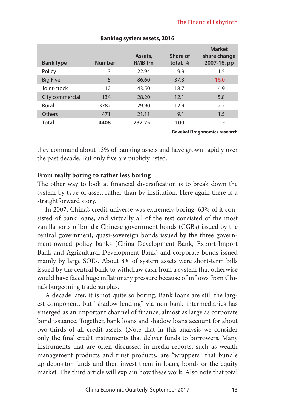| <b>Bank type</b> | <b>Number</b> | Assets,<br><b>RMB</b> trn | Share of<br>total, % | <b>Market</b><br>share change<br>2007-16, pp |
|------------------|---------------|---------------------------|----------------------|----------------------------------------------|
| Policy           | 3             | 22.94                     | 9.9                  | 1.5                                          |
| <b>Big Five</b>  | 5             | 86.60                     | 37.3                 | $-16.0$                                      |
| Joint-stock      | 12            | 43.50                     | 18.7                 | 4.9                                          |
| City commercial  | 134           | 28.20                     | 12.1                 | 5.8                                          |
| Rural            | 3782          | 29.90                     | 12.9                 | 2.2                                          |
| Others           | 471           | 21.11                     | 9.1                  | 1.5                                          |
| Total            | 4408          | 232.25                    | 100                  |                                              |

#### **Banking system assets, 2016**

**Gavekal Dragonomics research**

they command about 13% of banking assets and have grown rapidly over the past decade. But only five are publicly listed.

#### **From really boring to rather less boring**

The other way to look at financial diversification is to break down the system by type of asset, rather than by institution. Here again there is a straightforward story.

In 2007, China's credit universe was extremely boring: 63% of it consisted of bank loans, and virtually all of the rest consisted of the most vanilla sorts of bonds: Chinese government bonds (CGBs) issued by the central government, quasi-sovereign bonds issued by the three government-owned policy banks (China Development Bank, Export-Import Bank and Agricultural Development Bank) and corporate bonds issued mainly by large SOEs. About 8% of system assets were short-term bills issued by the central bank to withdraw cash from a system that otherwise would have faced huge inflationary pressure because of inflows from China's burgeoning trade surplus.

A decade later, it is not quite so boring. Bank loans are still the largest component, but "shadow lending" via non-bank intermediaries has emerged as an important channel of finance, almost as large as corporate bond issuance. Together, bank loans and shadow loans account for about two-thirds of all credit assets. (Note that in this analysis we consider only the final credit instruments that deliver funds to borrowers. Many instruments that are often discussed in media reports, such as wealth management products and trust products, are "wrappers" that bundle up depositor funds and then invest them in loans, bonds or the equity market. The third article will explain how these work. Also note that total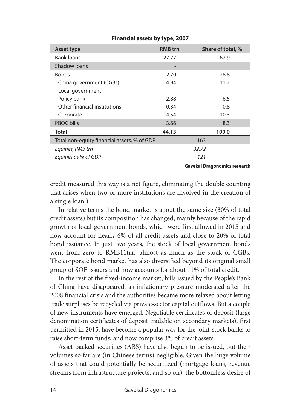| Asset type                                  | <b>RMB</b> trn | Share of total, % |
|---------------------------------------------|----------------|-------------------|
| <b>Bank loans</b>                           | 27.77          | 62.9              |
| Shadow Joans                                |                |                   |
| <b>Bonds</b>                                | 12.70          | 28.8              |
| China government (CGBs)                     | 4.94           | 11.2              |
| Local government                            |                |                   |
| Policy bank                                 | 2.88           | 6.5               |
| Other financial institutions                | 0.34           | 0.8               |
| Corporate                                   | 4.54           | 10.3              |
| <b>PBOC</b> bills                           | 3.66           | 8.3               |
| Total                                       | 44.13          | 100.0             |
| Total non-equity financial assets, % of GDP |                | 163               |
| Equities, RMB trn                           |                | 32.72             |
| Equities as % of GDP                        |                | 121               |
|                                             |                |                   |

#### **Financial assets by type, 2007**

**Gavekal Dragonomics research**

credit measured this way is a net figure, eliminating the double counting that arises when two or more institutions are involved in the creation of a single loan.)

In relative terms the bond market is about the same size (30% of total credit assets) but its composition has changed, mainly because of the rapid growth of local-government bonds, which were first allowed in 2015 and now account for nearly 6% of all credit assets and close to 20% of total bond issuance. In just two years, the stock of local government bonds went from zero to RMB11trn, almost as much as the stock of CGBs. The corporate bond market has also diversified beyond its original small group of SOE issuers and now accounts for about 11% of total credit.

In the rest of the fixed-income market, bills issued by the People's Bank of China have disappeared, as inflationary pressure moderated after the 2008 financial crisis and the authorities became more relaxed about letting trade surpluses be recycled via private-sector capital outflows. But a couple of new instruments have emerged. Negotiable certificates of deposit (large denomination certificates of deposit tradable on secondary markets), first permitted in 2015, have become a popular way for the joint-stock banks to raise short-term funds, and now comprise 3% of credit assets.

Asset-backed securities (ABS) have also begun to be issued, but their volumes so far are (in Chinese terms) negligible. Given the huge volume of assets that could potentially be securitized (mortgage loans, revenue streams from infrastructure projects, and so on), the bottomless desire of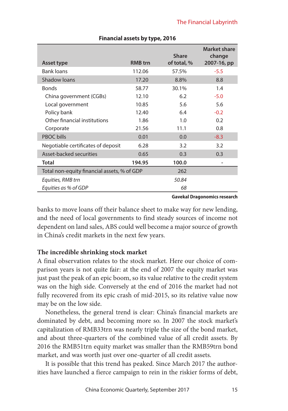|                                             |                | <b>Share</b> | Market share<br>change |
|---------------------------------------------|----------------|--------------|------------------------|
| <b>Asset type</b>                           | <b>RMB</b> trn | of total, %  | 2007-16, pp            |
| <b>Bank loans</b>                           | 112.06         | 57.5%        | $-5.5$                 |
| Shadow Joans                                | 17.20          | 8.8%         | 8.8                    |
| <b>Bonds</b>                                | 58.77          | 30.1%        | 1.4                    |
| China government (CGBs)                     | 12.10          | 6.2          | $-5.0$                 |
| Local government                            | 10.85          | 5.6          | 5.6                    |
| Policy bank                                 | 12.40          | 6.4          | $-0.2$                 |
| Other financial institutions                | 1.86           | 1.0          | 0.2                    |
| Corporate                                   | 21.56          | 11.1         | 0.8                    |
| <b>PBOC</b> bills                           | 0.01           | 0.0          | $-8.3$                 |
| Negotiable certificates of deposit          | 6.28           | 3.2          | 3.2                    |
| Asset-backed securities                     | 0.65           | 0.3          | 0.3                    |
| <b>Total</b>                                | 194.95         | 100.0        |                        |
| Total non-equity financial assets, % of GDP |                | 262          |                        |
| Equities, RMB trn                           |                | 50.84        |                        |
| Equities as % of GDP                        |                | 68           |                        |

#### **Financial assets by type, 2016**

**Gavekal Dragonomics research**

banks to move loans off their balance sheet to make way for new lending, and the need of local governments to find steady sources of income not dependent on land sales, ABS could well become a major source of growth in China's credit markets in the next few years.

#### **The incredible shrinking stock market**

A final observation relates to the stock market. Here our choice of comparison years is not quite fair: at the end of 2007 the equity market was just past the peak of an epic boom, so its value relative to the credit system was on the high side. Conversely at the end of 2016 the market had not fully recovered from its epic crash of mid-2015, so its relative value now may be on the low side.

Nonetheless, the general trend is clear: China's financial markets are dominated by debt, and becoming more so. In 2007 the stock market's capitalization of RMB33trn was nearly triple the size of the bond market, and about three-quarters of the combined value of all credit assets. By 2016 the RMB51trn equity market was smaller than the RMB59trn bond market, and was worth just over one-quarter of all credit assets.

It is possible that this trend has peaked. Since March 2017 the authorities have launched a fierce campaign to rein in the riskier forms of debt,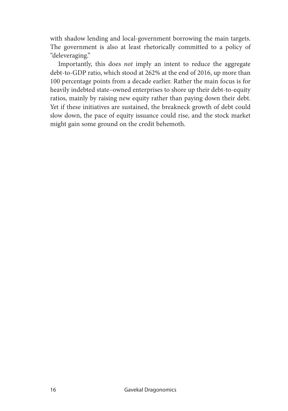with shadow lending and local-government borrowing the main targets. The government is also at least rhetorically committed to a policy of "deleveraging."

Importantly, this does *not* imply an intent to reduce the aggregate debt-to-GDP ratio, which stood at 262% at the end of 2016, up more than 100 percentage points from a decade earlier. Rather the main focus is for heavily indebted state–owned enterprises to shore up their debt-to-equity ratios, mainly by raising new equity rather than paying down their debt. Yet if these initiatives are sustained, the breakneck growth of debt could slow down, the pace of equity issuance could rise, and the stock market might gain some ground on the credit behemoth.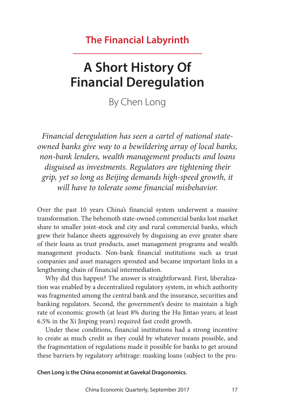### **The Financial Labyrinth**

# **A Short History Of Financial Deregulation**

By Chen Long

*Financial deregulation has seen a cartel of national stateowned banks give way to a bewildering array of local banks, non-bank lenders, wealth management products and loans disguised as investments. Regulators are tightening their grip, yet so long as Beijing demands high-speed growth, it will have to tolerate some financial misbehavior.*

Over the past 10 years China's financial system underwent a massive transformation. The behemoth state-owned commercial banks lost market share to smaller joint-stock and city and rural commercial banks, which grew their balance sheets aggressively by disguising an ever greater share of their loans as trust products, asset management programs and wealth management products. Non-bank financial institutions such as trust companies and asset managers sprouted and became important links in a lengthening chain of financial intermediation.

Why did this happen? The answer is straightforward. First, liberalization was enabled by a decentralized regulatory system, in which authority was fragmented among the central bank and the insurance, securities and banking regulators. Second, the government's desire to maintain a high rate of economic growth (at least 8% during the Hu Jintao years; at least 6.5% in the Xi Jinping years) required fast credit growth.

Under these conditions, financial institutions had a strong incentive to create as much credit as they could by whatever means possible, and the fragmentation of regulations made it possible for banks to get around these barriers by regulatory arbitrage: masking loans (subject to the pru-

**Chen Long is the China economist at Gavekal Dragonomics.**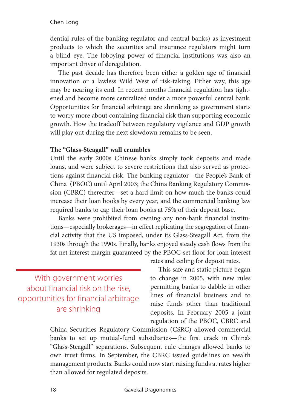#### Chen Long

dential rules of the banking regulator and central banks) as investment products to which the securities and insurance regulators might turn a blind eye. The lobbying power of financial institutions was also an important driver of deregulation.

The past decade has therefore been either a golden age of financial innovation or a lawless Wild West of risk-taking. Either way, this age may be nearing its end. In recent months financial regulation has tightened and become more centralized under a more powerful central bank. Opportunities for financial arbitrage are shrinking as government starts to worry more about containing financial risk than supporting economic growth. How the tradeoff between regulatory vigilance and GDP growth will play out during the next slowdown remains to be seen.

#### **The "Glass-Steagall" wall crumbles**

Until the early 2000s Chinese banks simply took deposits and made loans, and were subject to severe restrictions that also served as protections against financial risk. The banking regulator—the People's Bank of China (PBOC) until April 2003; the China Banking Regulatory Commission (CBRC) thereafter—set a hard limit on how much the banks could increase their loan books by every year, and the commercial banking law required banks to cap their loan books at 75% of their deposit base.

Banks were prohibited from owning any non-bank financial institutions—especially brokerages—in effect replicating the segregation of financial activity that the US imposed, under its Glass-Steagall Act, from the 1930s through the 1990s. Finally, banks enjoyed steady cash flows from the fat net interest margin guaranteed by the PBOC-set floor for loan interest

With government worries about financial risk on the rise, opportunities for financial arbitrage are shrinking

rates and ceiling for deposit rates.

This safe and static picture began to change in 2005, with new rules permitting banks to dabble in other lines of financial business and to raise funds other than traditional deposits. In February 2005 a joint regulation of the PBOC, CBRC and

China Securities Regulatory Commission (CSRC) allowed commercial banks to set up mutual-fund subsidiaries—the first crack in China's "Glass-Steagall" separations. Subsequent rule changes allowed banks to own trust firms. In September, the CBRC issued guidelines on wealth management products. Banks could now start raising funds at rates higher than allowed for regulated deposits.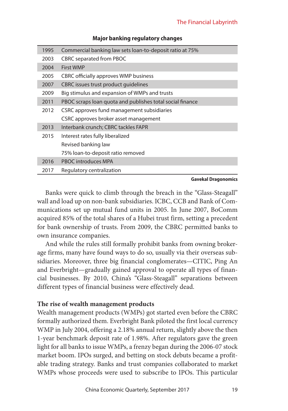| 1995 | Commercial banking law sets loan-to-deposit ratio at 75%  |
|------|-----------------------------------------------------------|
| 2003 | <b>CBRC</b> separated from PBOC                           |
| 2004 | <b>First WMP</b>                                          |
| 2005 | CBRC officially approves WMP business                     |
| 2007 | CBRC issues trust product quidelines                      |
| 2009 | Big stimulus and expansion of WMPs and trusts             |
| 2011 | PBOC scraps loan quota and publishes total social finance |
| 2012 | CSRC approves fund management subsidiaries                |
|      | CSRC approves broker asset management                     |
| 2013 | Interbank crunch; CBRC tackles FAPR                       |
| 2015 | Interest rates fully liberalized                          |
|      | Revised banking law                                       |
|      | 75% loan-to-deposit ratio removed                         |
| 2016 | <b>PBOC</b> introduces MPA                                |
| 2017 | Regulatory centralization                                 |

#### **Major banking regulatory changes**

#### **Gavekal Dragonomics**

Banks were quick to climb through the breach in the "Glass-Steagall" wall and load up on non-bank subsidiaries. ICBC, CCB and Bank of Communications set up mutual fund units in 2005. In June 2007, BoComm acquired 85% of the total shares of a Hubei trust firm, setting a precedent for bank ownership of trusts. From 2009, the CBRC permitted banks to own insurance companies.

And while the rules still formally prohibit banks from owning brokerage firms, many have found ways to do so, usually via their overseas subsidiaries. Moreover, three big financial conglomerates—CITIC, Ping An and Everbright—gradually gained approval to operate all types of financial businesses. By 2010, China's "Glass-Steagall" separations between different types of financial business were effectively dead.

#### **The rise of wealth management products**

Wealth management products (WMPs) got started even before the CBRC formally authorized them. Everbright Bank piloted the first local currency WMP in July 2004, offering a 2.18% annual return, slightly above the then 1-year benchmark deposit rate of 1.98%. After regulators gave the green light for all banks to issue WMPs, a frenzy began during the 2006-07 stock market boom. IPOs surged, and betting on stock debuts became a profitable trading strategy. Banks and trust companies collaborated to market WMPs whose proceeds were used to subscribe to IPOs. This particular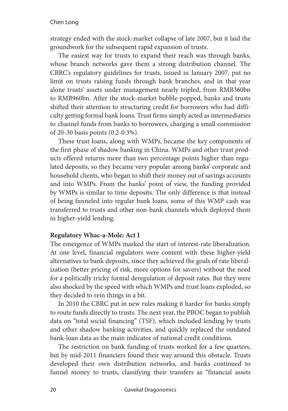strategy ended with the stock-market collapse of late 2007, but it laid the groundwork for the subsequent rapid expansion of trusts.

The easiest way for trusts to expand their reach was through banks, whose branch networks gave them a strong distribution channel. The CBRC's regulatory guidelines for trusts, issued in January 2007, put no limit on trusts raising funds through bank branches, and in that year alone trusts' assets under management nearly tripled, from RMB360bn to RMB960bn. After the stock-market bubble popped, banks and trusts shifted their attention to structuring credit for borrowers who had difficulty getting formal bank loans. Trust firms simply acted as intermediaries to channel funds from banks to borrowers, charging a small commission of 20-30 basis points (0.2-0.3%).

These trust loans, along with WMPs, became the key components of the first phase of shadow banking in China. WMPs and other trust products offered returns more than two percentage points higher than regulated deposits, so they became very popular among banks' corporate and household clients, who began to shift their money out of savings accounts and into WMPs. From the banks' point of view, the funding provided by WMPs is similar to time deposits. The only difference is that instead of being funneled into regular bank loans, some of this WMP cash was transferred to trusts and other non-bank channels which deployed them in higher-yield lending.

#### **Regulatory Whac-a-Mole: Act I**

The emergence of WMPs marked the start of interest-rate liberalization. At one level, financial regulators were content with these higher-yield alternatives to bank deposits, since they achieved the goals of rate liberalization (better pricing of risk, more options for savers) without the need for a politically tricky formal deregulation of deposit rates. But they were also shocked by the speed with which WMPs and trust loans exploded, so they decided to rein things in a bit.

In 2010 the CBRC put in new rules making it harder for banks simply to route funds directly to trusts. The next year, the PBOC began to publish data on "total social financing" (TSF), which included lending by trusts and other shadow banking activities, and quickly replaced the outdated bank-loan data as the main indicator of national credit conditions.

The restriction on bank funding of trusts worked for a few quarters, but by mid-2011 financiers found their way around this obstacle. Trusts developed their own distribution networks, and banks continued to funnel money to trusts, classifying their transfers as "financial assets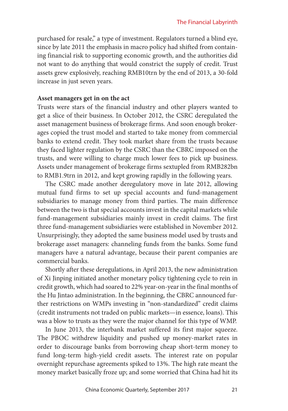purchased for resale," a type of investment. Regulators turned a blind eye, since by late 2011 the emphasis in macro policy had shifted from containing financial risk to supporting economic growth, and the authorities did not want to do anything that would constrict the supply of credit. Trust assets grew explosively, reaching RMB10trn by the end of 2013, a 30-fold increase in just seven years.

#### **Asset managers get in on the act**

Trusts were stars of the financial industry and other players wanted to get a slice of their business. In October 2012, the CSRC deregulated the asset management business of brokerage firms. And soon enough brokerages copied the trust model and started to take money from commercial banks to extend credit. They took market share from the trusts because they faced lighter regulation by the CSRC than the CBRC imposed on the trusts, and were willing to charge much lower fees to pick up business. Assets under management of brokerage firms sextupled from RMB282bn to RMB1.9trn in 2012, and kept growing rapidly in the following years.

The CSRC made another deregulatory move in late 2012, allowing mutual fund firms to set up special accounts and fund-management subsidiaries to manage money from third parties. The main difference between the two is that special accounts invest in the capital markets while fund-management subsidiaries mainly invest in credit claims. The first three fund-management subsidiaries were established in November 2012. Unsurprisingly, they adopted the same business model used by trusts and brokerage asset managers: channeling funds from the banks. Some fund managers have a natural advantage, because their parent companies are commercial banks.

Shortly after these deregulations, in April 2013, the new administration of Xi Jinping initiated another monetary policy tightening cycle to rein in credit growth, which had soared to 22% year-on-year in the final months of the Hu Jintao administration. In the beginning, the CBRC announced further restrictions on WMPs investing in "non-standardized" credit claims (credit instruments not traded on public markets—in essence, loans). This was a blow to trusts as they were the major channel for this type of WMP.

In June 2013, the interbank market suffered its first major squeeze. The PBOC withdrew liquidity and pushed up money-market rates in order to discourage banks from borrowing cheap short-term money to fund long-term high-yield credit assets. The interest rate on popular overnight repurchase agreements spiked to 13%. The high rate meant the money market basically froze up; and some worried that China had hit its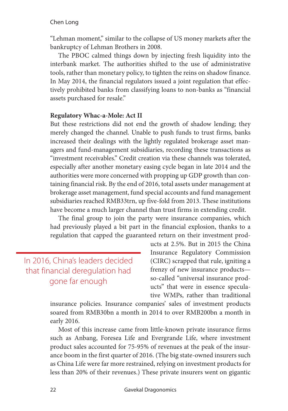#### Chen Long

"Lehman moment," similar to the collapse of US money markets after the bankruptcy of Lehman Brothers in 2008.

The PBOC calmed things down by injecting fresh liquidity into the interbank market. The authorities shifted to the use of administrative tools, rather than monetary policy, to tighten the reins on shadow finance. In May 2014, the financial regulators issued a joint regulation that effectively prohibited banks from classifying loans to non-banks as "financial assets purchased for resale."

#### **Regulatory Whac-a-Mole: Act II**

But these restrictions did not end the growth of shadow lending; they merely changed the channel. Unable to push funds to trust firms, banks increased their dealings with the lightly regulated brokerage asset managers and fund-management subsidiaries, recording these transactions as "investment receivables." Credit creation via these channels was tolerated, especially after another monetary easing cycle began in late 2014 and the authorities were more concerned with propping up GDP growth than containing financial risk. By the end of 2016, total assets under management at brokerage asset management, fund special accounts and fund management subsidiaries reached RMB33trn, up five-fold from 2013. These institutions have become a much larger channel than trust firms in extending credit.

The final group to join the party were insurance companies, which had previously played a bit part in the financial explosion, thanks to a regulation that capped the guaranteed return on their investment prod-

In 2016, China's leaders decided that financial deregulation had gone far enough

ucts at 2.5%. But in 2015 the China Insurance Regulatory Commission (CIRC) scrapped that rule, igniting a frenzy of new insurance products so-called "universal insurance products" that were in essence speculative WMPs, rather than traditional

insurance policies. Insurance companies' sales of investment products soared from RMB30bn a month in 2014 to over RMB200bn a month in early 2016.

Most of this increase came from little-known private insurance firms such as Anbang, Foresea Life and Evergrande Life, where investment product sales accounted for 75-95% of revenues at the peak of the insurance boom in the first quarter of 2016. (The big state-owned insurers such as China Life were far more restrained, relying on investment products for less than 20% of their revenues.) These private insurers went on gigantic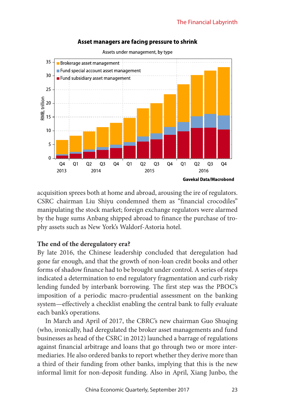



Assets under management, by type

acquisition sprees both at home and abroad, arousing the ire of regulators. CSRC chairman Liu Shiyu condemned them as "financial crocodiles" manipulating the stock market; foreign exchange regulators were alarmed by the huge sums Anbang shipped abroad to finance the purchase of trophy assets such as New York's Waldorf-Astoria hotel.

#### **The end of the deregulatory era?**

By late 2016, the Chinese leadership concluded that deregulation had gone far enough, and that the growth of non-loan credit books and other forms of shadow finance had to be brought under control. A series of steps indicated a determination to end regulatory fragmentation and curb risky lending funded by interbank borrowing. The first step was the PBOC's imposition of a periodic macro-prudential assessment on the banking system—effectively a checklist enabling the central bank to fully evaluate each bank's operations.

In March and April of 2017, the CBRC's new chairman Guo Shuqing (who, ironically, had deregulated the broker asset managements and fund businesses as head of the CSRC in 2012) launched a barrage of regulations against financial arbitrage and loans that go through two or more intermediaries. He also ordered banks to report whether they derive more than a third of their funding from other banks, implying that this is the new informal limit for non-deposit funding. Also in April, Xiang Junbo, the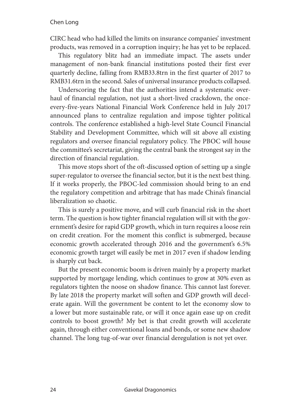CIRC head who had killed the limits on insurance companies' investment products, was removed in a corruption inquiry; he has yet to be replaced.

This regulatory blitz had an immediate impact. The assets under management of non-bank financial institutions posted their first ever quarterly decline, falling from RMB33.8trn in the first quarter of 2017 to RMB31.6trn in the second. Sales of universal insurance products collapsed.

Underscoring the fact that the authorities intend a systematic overhaul of financial regulation, not just a short-lived crackdown, the onceevery-five-years National Financial Work Conference held in July 2017 announced plans to centralize regulation and impose tighter political controls. The conference established a high-level State Council Financial Stability and Development Committee, which will sit above all existing regulators and oversee financial regulatory policy. The PBOC will house the committee's secretariat, giving the central bank the strongest say in the direction of financial regulation.

This move stops short of the oft-discussed option of setting up a single super-regulator to oversee the financial sector, but it is the next best thing. If it works properly, the PBOC-led commission should bring to an end the regulatory competition and arbitrage that has made China's financial liberalization so chaotic.

This is surely a positive move, and will curb financial risk in the short term. The question is how tighter financial regulation will sit with the government's desire for rapid GDP growth, which in turn requires a loose rein on credit creation. For the moment this conflict is submerged, because economic growth accelerated through 2016 and the government's 6.5% economic growth target will easily be met in 2017 even if shadow lending is sharply cut back.

But the present economic boom is driven mainly by a property market supported by mortgage lending, which continues to grow at 30% even as regulators tighten the noose on shadow finance. This cannot last forever. By late 2018 the property market will soften and GDP growth will decelerate again. Will the government be content to let the economy slow to a lower but more sustainable rate, or will it once again ease up on credit controls to boost growth? My bet is that credit growth will accelerate again, through either conventional loans and bonds, or some new shadow channel. The long tug-of-war over financial deregulation is not yet over.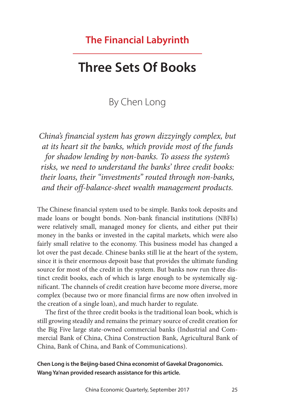### **The Financial Labyrinth**

## **Three Sets Of Books**

### By Chen Long

*China's financial system has grown dizzyingly complex, but at its heart sit the banks, which provide most of the funds for shadow lending by non-banks. To assess the system's risks, we need to understand the banks' three credit books: their loans, their "investments" routed through non-banks, and their off-balance-sheet wealth management products.*

The Chinese financial system used to be simple. Banks took deposits and made loans or bought bonds. Non-bank financial institutions (NBFIs) were relatively small, managed money for clients, and either put their money in the banks or invested in the capital markets, which were also fairly small relative to the economy. This business model has changed a lot over the past decade. Chinese banks still lie at the heart of the system, since it is their enormous deposit base that provides the ultimate funding source for most of the credit in the system. But banks now run three distinct credit books, each of which is large enough to be systemically significant. The channels of credit creation have become more diverse, more complex (because two or more financial firms are now often involved in the creation of a single loan), and much harder to regulate.

The first of the three credit books is the traditional loan book, which is still growing steadily and remains the primary source of credit creation for the Big Five large state-owned commercial banks (Industrial and Commercial Bank of China, China Construction Bank, Agricultural Bank of China, Bank of China, and Bank of Communications).

**Chen Long is the Beijing-based China economist of Gavekal Dragonomics. Wang Ya'nan provided research assistance for this article.**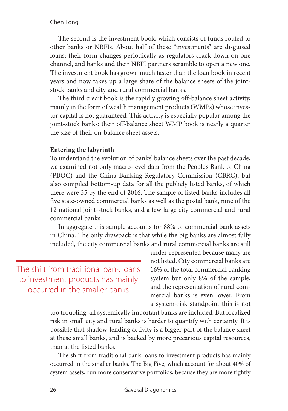#### Chen Long

The second is the investment book, which consists of funds routed to other banks or NBFIs. About half of these "investments" are disguised loans; their form changes periodically as regulators crack down on one channel, and banks and their NBFI partners scramble to open a new one. The investment book has grown much faster than the loan book in recent years and now takes up a large share of the balance sheets of the jointstock banks and city and rural commercial banks.

The third credit book is the rapidly growing off-balance sheet activity, mainly in the form of wealth management products (WMPs) whose investor capital is not guaranteed. This activity is especially popular among the joint-stock banks: their off-balance sheet WMP book is nearly a quarter the size of their on-balance sheet assets.

#### **Entering the labyrinth**

To understand the evolution of banks' balance sheets over the past decade, we examined not only macro-level data from the People's Bank of China (PBOC) and the China Banking Regulatory Commission (CBRC), but also compiled bottom-up data for all the publicly listed banks, of which there were 35 by the end of 2016. The sample of listed banks includes all five state-owned commercial banks as well as the postal bank, nine of the 12 national joint-stock banks, and a few large city commercial and rural commercial banks.

In aggregate this sample accounts for 88% of commercial bank assets in China. The only drawback is that while the big banks are almost fully included, the city commercial banks and rural commercial banks are still

The shift from traditional bank loans to investment products has mainly occurred in the smaller banks

under-represented because many are not listed. City commercial banks are 16% of the total commercial banking system but only 8% of the sample, and the representation of rural commercial banks is even lower. From a system-risk standpoint this is not

too troubling: all systemically important banks are included. But localized risk in small city and rural banks is harder to quantify with certainty. It is possible that shadow-lending activity is a bigger part of the balance sheet at these small banks, and is backed by more precarious capital resources, than at the listed banks.

The shift from traditional bank loans to investment products has mainly occurred in the smaller banks. The Big Five, which account for about 40% of system assets, run more conservative portfolios, because they are more tightly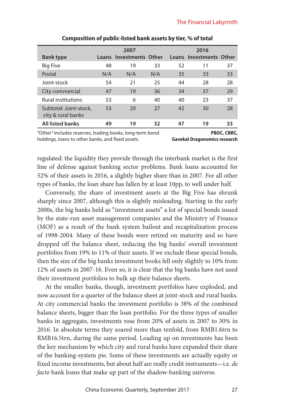|                                              | 2007 |                         |     | 2016 |                         |    |
|----------------------------------------------|------|-------------------------|-----|------|-------------------------|----|
| <b>Bank type</b>                             |      | Loans Investments Other |     |      | Loans Investments Other |    |
| <b>Big Five</b>                              | 48   | 19                      | 33  | 52   | 11                      | 37 |
| Postal                                       | N/A  | N/A                     | N/A | 35   | 33                      | 33 |
| Joint-stock                                  | 54   | 21                      | 25  | 44   | 28                      | 28 |
| City commercial                              | 47   | 19                      | 36  | 34   | 37                      | 29 |
| <b>Rural institutions</b>                    | 53   | 6                       | 40  | 40   | 23                      | 37 |
| Subtotal: Joint-stock,<br>city & rural banks | 53   | 20                      | 27  | 42   | 30                      | 28 |
| <b>All listed banks</b>                      | 49   | 19                      | 32  | 47   | 19                      | 33 |

#### **Composition of public-listed bank assets by tier, % of total**

"Other" includes reserves, trading books, long-term bond **PBOC, CBRC,**  holdings, loans to other banks, and fixed assets. **Gavekal Dragonomics research**

regulated: the liquidity they provide through the interbank market is the first line of defense against banking sector problems. Bank loans accounted for 52% of their assets in 2016, a slightly higher share than in 2007. For all other types of banks, the loan share has fallen by at least 10pp, to well under half.

Conversely, the share of investment assets at the Big Five has shrunk sharply since 2007, although this is slightly misleading. Starting in the early 2000s, the big banks held as "investment assets" a lot of special bonds issued by the state-run asset management companies and the Ministry of Finance (MOF) as a result of the bank system bailout and recapitalization process of 1998-2004. Many of these bonds were retired on maturity and so have dropped off the balance sheet, reducing the big banks' overall investment portfolios from 19% to 11% of their assets. If we exclude these special bonds, then the size of the big banks investment books fell only slightly to 10% from 12% of assets in 2007-16. Even so, it is clear that the big banks have not used their investment portfolios to bulk up their balance sheets.

At the smaller banks, though, investment portfolios have exploded, and now account for a quarter of the balance sheet at joint-stock and rural banks. At city commercial banks the investment portfolio is 38% of the combined balance sheets, bigger than the loan portfolio. For the three types of smaller banks in aggregate, investments rose from 20% of assets in 2007 to 30% in 2016. In absolute terms they soared more than tenfold, from RMB1.6trn to RMB16.5trn, during the same period. Loading up on investments has been the key mechanism by which city and rural banks have expanded their share of the banking-system pie. Some of these investments are actually equity or fixed income investments, but about half are really credit instruments—i.e. *de facto* bank loans that make up part of the shadow-banking universe.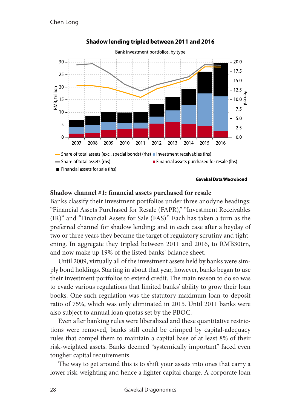

#### Shadow lending tripled between 2011 and 2016

#### **Shadow channel #1: financial assets purchased for resale**

Banks classify their investment portfolios under three anodyne headings: "Financial Assets Purchased for Resale (FAPR)," "Investment Receivables (IR)" and "Financial Assets for Sale (FAS)." Each has taken a turn as the preferred channel for shadow lending; and in each case after a heyday of two or three years they became the target of regulatory scrutiny and tightening. In aggregate they tripled between 2011 and 2016, to RMB30trn, and now make up 19% of the listed banks' balance sheet.

Until 2009, virtually all of the investment assets held by banks were simply bond holdings. Starting in about that year, however, banks began to use their investment portfolios to extend credit. The main reason to do so was to evade various regulations that limited banks' ability to grow their loan books. One such regulation was the statutory maximum loan-to-deposit ratio of 75%, which was only eliminated in 2015. Until 2011 banks were also subject to annual loan quotas set by the PBOC.

Even after banking rules were liberalized and these quantitative restrictions were removed, banks still could be crimped by capital-adequacy rules that compel them to maintain a capital base of at least 8% of their risk-weighted assets. Banks deemed "systemically important" faced even tougher capital requirements.

The way to get around this is to shift your assets into ones that carry a lower risk-weighting and hence a lighter capital charge. A corporate loan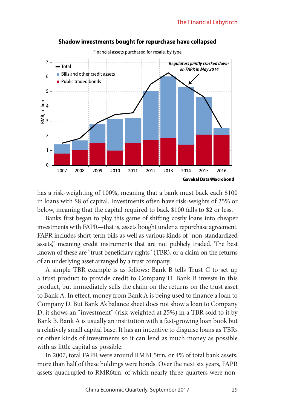

#### Shadow investments bought for repurchase have collapsed

has a risk-weighting of 100%, meaning that a bank must back each \$100 in loans with \$8 of capital. Investments often have risk-weights of 25% or below, meaning that the capital required to back \$100 falls to \$2 or less.

Banks first began to play this game of shifting costly loans into cheaper investments with FAPR—that is, assets bought under a repurchase agreement. FAPR includes short-term bills as well as various kinds of "non-standardized assets," meaning credit instruments that are not publicly traded. The best known of these are "trust beneficiary rights" (TBR), or a claim on the returns of an underlying asset arranged by a trust company.

A simple TBR example is as follows: Bank B tells Trust C to set up a trust product to provide credit to Company D. Bank B invests in this product, but immediately sells the claim on the returns on the trust asset to Bank A. In effect, money from Bank A is being used to finance a loan to Company D. But Bank A's balance sheet does not show a loan to Company D; it shows an "investment" (risk-weighted at 25%) in a TBR sold to it by Bank B. Bank A is usually an institution with a fast-growing loan book but a relatively small capital base. It has an incentive to disguise loans as TBRs or other kinds of investments so it can lend as much money as possible with as little capital as possible.

In 2007, total FAPR were around RMB1.5trn, or 4% of total bank assets; more than half of these holdings were bonds. Over the next six years, FAPR assets quadrupled to RMR6trn, of which nearly three-quarters were non-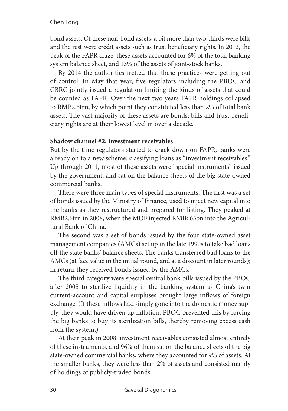#### Chen Long

bond assets. Of these non-bond assets, a bit more than two-thirds were bills and the rest were credit assets such as trust beneficiary rights. In 2013, the peak of the FAPR craze, these assets accounted for 6% of the total banking system balance sheet, and 13% of the assets of joint-stock banks.

By 2014 the authorities fretted that these practices were getting out of control. In May that year, five regulators including the PBOC and CBRC jointly issued a regulation limiting the kinds of assets that could be counted as FAPR. Over the next two years FAPR holdings collapsed to RMB2.5trn, by which point they constituted less than 2% of total bank assets. The vast majority of these assets are bonds; bills and trust beneficiary rights are at their lowest level in over a decade.

#### **Shadow channel #2: investment receivables**

But by the time regulators started to crack down on FAPR, banks were already on to a new scheme: classifying loans as "investment receivables." Up through 2011, most of these assets were "special instruments" issued by the government, and sat on the balance sheets of the big state-owned commercial banks.

There were three main types of special instruments. The first was a set of bonds issued by the Ministry of Finance, used to inject new capital into the banks as they restructured and prepared for listing. They peaked at RMB2.6trn in 2008, when the MOF injected RMB665bn into the Agricultural Bank of China.

The second was a set of bonds issued by the four state-owned asset management companies (AMCs) set up in the late 1990s to take bad loans off the state banks' balance sheets. The banks transferred bad loans to the AMCs (at face value in the initial round, and at a discount in later rounds); in return they received bonds issued by the AMCs.

The third category were special central bank bills issued by the PBOC after 2005 to sterilize liquidity in the banking system as China's twin current-account and capital surpluses brought large inflows of foreign exchange. (If these inflows had simply gone into the domestic money supply, they would have driven up inflation. PBOC prevented this by forcing the big banks to buy its sterilization bills, thereby removing excess cash from the system.)

At their peak in 2008, investment receivables consisted almost entirely of these instruments, and 96% of them sat on the balance sheets of the big state-owned commercial banks, where they accounted for 9% of assets. At the smaller banks, they were less than 2% of assets and consisted mainly of holdings of publicly-traded bonds.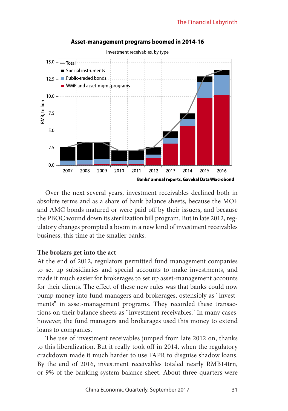

#### Asset-management programs boomed in 2014-16

Over the next several years, investment receivables declined both in absolute terms and as a share of bank balance sheets, because the MOF and AMC bonds matured or were paid off by their issuers, and because the PBOC wound down its sterilization bill program. But in late 2012, regulatory changes prompted a boom in a new kind of investment receivables business, this time at the smaller banks.

#### **The brokers get into the act**

At the end of 2012, regulators permitted fund management companies to set up subsidiaries and special accounts to make investments, and made it much easier for brokerages to set up asset-management accounts for their clients. The effect of these new rules was that banks could now pump money into fund managers and brokerages, ostensibly as "investments" in asset-management programs. They recorded these transactions on their balance sheets as "investment receivables." In many cases, however, the fund managers and brokerages used this money to extend loans to companies.

The use of investment receivables jumped from late 2012 on, thanks to this liberalization. But it really took off in 2014, when the regulatory crackdown made it much harder to use FAPR to disguise shadow loans. By the end of 2016, investment receivables totaled nearly RMB14trn, or 9% of the banking system balance sheet. About three-quarters were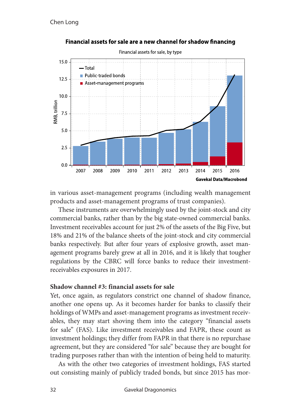

#### Financial assets for sale are a new channel for shadow financing

in various asset-management programs (including wealth management products and asset-management programs of trust companies).

These instruments are overwhelmingly used by the joint-stock and city commercial banks, rather than by the big state-owned commercial banks. Investment receivables account for just 2% of the assets of the Big Five, but 18% and 21% of the balance sheets of the joint-stock and city commercial banks respectively. But after four years of explosive growth, asset management programs barely grew at all in 2016, and it is likely that tougher regulations by the CBRC will force banks to reduce their investmentreceivables exposures in 2017.

#### **Shadow channel #3: financial assets for sale**

Yet, once again, as regulators constrict one channel of shadow finance, another one opens up. As it becomes harder for banks to classify their holdings of WMPs and asset-management programs as investment receivables, they may start shoving them into the category "financial assets for sale" (FAS). Like investment receivables and FAPR, these count as investment holdings; they differ from FAPR in that there is no repurchase agreement, but they are considered "for sale" because they are bought for trading purposes rather than with the intention of being held to maturity.

As with the other two categories of investment holdings, FAS started out consisting mainly of publicly traded bonds, but since 2015 has mor-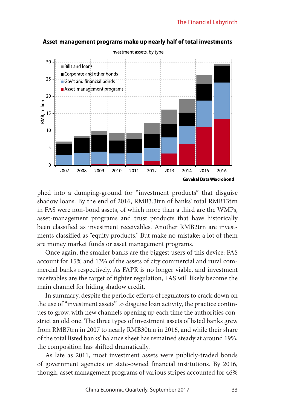

#### Asset-management programs make up nearly half of total investments

phed into a dumping-ground for "investment products" that disguise shadow loans. By the end of 2016, RMB3.3trn of banks' total RMB13trn in FAS were non-bond assets, of which more than a third are the WMPs, asset-management programs and trust products that have historically been classified as investment receivables. Another RMB2trn are investments classified as "equity products." But make no mistake: a lot of them are money market funds or asset management programs.

Once again, the smaller banks are the biggest users of this device: FAS account for 15% and 13% of the assets of city commercial and rural commercial banks respectively. As FAPR is no longer viable, and investment receivables are the target of tighter regulation, FAS will likely become the main channel for hiding shadow credit.

In summary, despite the periodic efforts of regulators to crack down on the use of "investment assets" to disguise loan activity, the practice continues to grow, with new channels opening up each time the authorities constrict an old one. The three types of investment assets of listed banks grew from RMB7trn in 2007 to nearly RMB30trn in 2016, and while their share of the total listed banks' balance sheet has remained steady at around 19%, the composition has shifted dramatically.

As late as 2011, most investment assets were publicly-traded bonds of government agencies or state-owned financial institutions. By 2016, though, asset management programs of various stripes accounted for 46%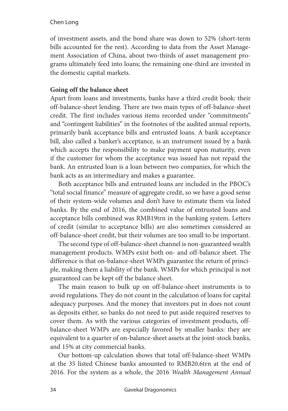#### Chen Long

of investment assets, and the bond share was down to 52% (short-term bills accounted for the rest). According to data from the Asset Management Association of China, about two-thirds of asset management programs ultimately feed into loans; the remaining one-third are invested in the domestic capital markets.

#### **Going off the balance sheet**

Apart from loans and investments, banks have a third credit book: their off-balance-sheet lending. There are two main types of off-balance-sheet credit. The first includes various items recorded under "commitments" and "contingent liabilities" in the footnotes of the audited annual reports, primarily bank acceptance bills and entrusted loans. A bank acceptance bill, also called a banker's acceptance, is an instrument issued by a bank which accepts the responsibility to make payment upon maturity, even if the customer for whom the acceptance was issued has not repaid the bank. An entrusted loan is a loan between two companies, for which the bank acts as an intermediary and makes a guarantee.

Both acceptance bills and entrusted loans are included in the PBOC's "total social finance" measure of aggregate credit, so we have a good sense of their system-wide volumes and don't have to estimate them via listed banks. By the end of 2016, the combined value of entrusted loans and acceptance bills combined was RMB19trn in the banking system. Letters of credit (similar to acceptance bills) are also sometimes considered as off-balance-sheet credit, but their volumes are too small to be important.

The second type of off-balance-sheet channel is non-guaranteed wealth management products. WMPs exist both on- and off-balance sheet. The difference is that on-balance-sheet WMPs guarantee the return of principle, making them a liability of the bank. WMPs for which principal is not guaranteed can be kept off the balance sheet.

The main reason to bulk up on off-balance-sheet instruments is to avoid regulations. They do not count in the calculation of loans for capital adequacy purposes. And the money that investors put in does not count as deposits either, so banks do not need to put aside required reserves to cover them. As with the various categories of investment products, offbalance-sheet WMPs are especially favored by smaller banks: they are equivalent to a quarter of on-balance-sheet assets at the joint-stock banks, and 15% at city commercial banks.

Our bottom-up calculation shows that total off-balance-sheet WMPs at the 35 listed Chinese banks amounted to RMB20.6trn at the end of 2016. For the system as a whole, the 2016 *Wealth Management Annual*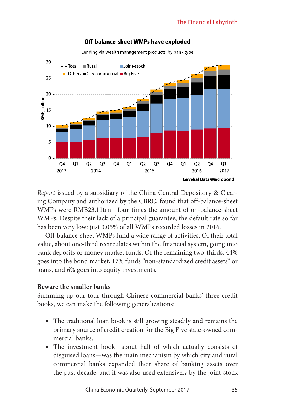

#### Off-balance-sheet WMPs have exploded

Lending via wealth management products, by bank type

*Report* issued by a subsidiary of the China Central Depository & Clearing Company and authorized by the CBRC, found that off-balance-sheet WMPs were RMB23.11trn—four times the amount of on-balance-sheet WMPs. Despite their lack of a principal guarantee, the default rate so far has been very low: just 0.05% of all WMPs recorded losses in 2016.

Off-balance-sheet WMPs fund a wide range of activities. Of their total value, about one-third recirculates within the financial system, going into bank deposits or money market funds. Of the remaining two-thirds, 44% goes into the bond market, 17% funds "non-standardized credit assets" or loans, and 6% goes into equity investments.

#### **Beware the smaller banks**

Summing up our tour through Chinese commercial banks' three credit books, we can make the following generalizations:

- The traditional loan book is still growing steadily and remains the primary source of credit creation for the Big Five state-owned commercial banks.
- The investment book—about half of which actually consists of disguised loans—was the main mechanism by which city and rural commercial banks expanded their share of banking assets over the past decade, and it was also used extensively by the joint-stock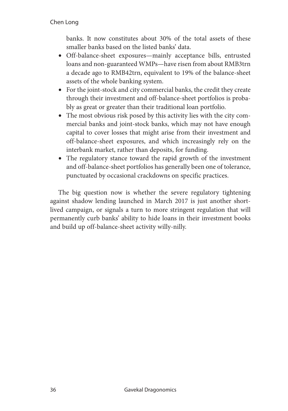## Chen Long

banks. It now constitutes about 30% of the total assets of these smaller banks based on the listed banks' data.

- Off-balance-sheet exposures—mainly acceptance bills, entrusted loans and non-guaranteed WMPs—have risen from about RMB3trn a decade ago to RMB42trn, equivalent to 19% of the balance-sheet assets of the whole banking system.
- For the joint-stock and city commercial banks, the credit they create through their investment and off-balance-sheet portfolios is probably as great or greater than their traditional loan portfolio.
- The most obvious risk posed by this activity lies with the city commercial banks and joint-stock banks, which may not have enough capital to cover losses that might arise from their investment and off-balance-sheet exposures, and which increasingly rely on the interbank market, rather than deposits, for funding.
- The regulatory stance toward the rapid growth of the investment and off-balance-sheet portfolios has generally been one of tolerance, punctuated by occasional crackdowns on specific practices.

The big question now is whether the severe regulatory tightening against shadow lending launched in March 2017 is just another shortlived campaign, or signals a turn to more stringent regulation that will permanently curb banks' ability to hide loans in their investment books and build up off-balance-sheet activity willy-nilly.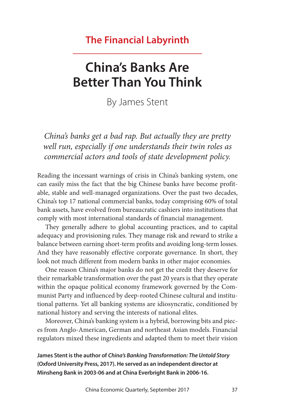# **The Financial Labyrinth**

# **China's Banks Are Better Than You Think**

By James Stent

*China's banks get a bad rap. But actually they are pretty well run, especially if one understands their twin roles as commercial actors and tools of state development policy.*

Reading the incessant warnings of crisis in China's banking system, one can easily miss the fact that the big Chinese banks have become profitable, stable and well-managed organizations. Over the past two decades, China's top 17 national commercial banks, today comprising 60% of total bank assets, have evolved from bureaucratic cashiers into institutions that comply with most international standards of financial management.

They generally adhere to global accounting practices, and to capital adequacy and provisioning rules. They manage risk and reward to strike a balance between earning short-term profits and avoiding long-term losses. And they have reasonably effective corporate governance. In short, they look not much different from modern banks in other major economies.

One reason China's major banks do not get the credit they deserve for their remarkable transformation over the past 20 years is that they operate within the opaque political economy framework governed by the Communist Party and influenced by deep-rooted Chinese cultural and institutional patterns. Yet all banking systems are idiosyncratic, conditioned by national history and serving the interests of national elites.

Moreover, China's banking system is a hybrid, borrowing bits and pieces from Anglo-American, German and northeast Asian models. Financial regulators mixed these ingredients and adapted them to meet their vision

**James Stent is the author of** *China's Banking Transformation: The Untold Story* **(Oxford University Press, 2017). He served as an independent director at Minsheng Bank in 2003-06 and at China Everbright Bank in 2006-16.**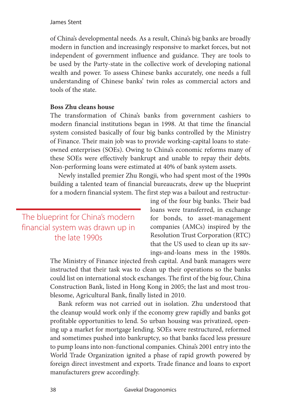### James Stent

of China's developmental needs. As a result, China's big banks are broadly modern in function and increasingly responsive to market forces, but not independent of government influence and guidance. They are tools to be used by the Party-state in the collective work of developing national wealth and power. To assess Chinese banks accurately, one needs a full understanding of Chinese banks' twin roles as commercial actors and tools of the state.

## **Boss Zhu cleans house**

The transformation of China's banks from government cashiers to modern financial institutions began in 1998. At that time the financial system consisted basically of four big banks controlled by the Ministry of Finance. Their main job was to provide working-capital loans to stateowned enterprises (SOEs). Owing to China's economic reforms many of these SOEs were effectively bankrupt and unable to repay their debts. Non-performing loans were estimated at 40% of bank system assets.

Newly installed premier Zhu Rongji, who had spent most of the 1990s building a talented team of financial bureaucrats, drew up the blueprint for a modern financial system. The first step was a bailout and restructur-

The blueprint for China's modern financial system was drawn up in the late 1990s

ing of the four big banks. Their bad loans were transferred, in exchange for bonds, to asset-management companies (AMCs) inspired by the Resolution Trust Corporation (RTC) that the US used to clean up its savings-and-loans mess in the 1980s.

The Ministry of Finance injected fresh capital. And bank managers were instructed that their task was to clean up their operations so the banks could list on international stock exchanges. The first of the big four, China Construction Bank, listed in Hong Kong in 2005; the last and most troublesome, Agricultural Bank, finally listed in 2010.

Bank reform was not carried out in isolation. Zhu understood that the cleanup would work only if the economy grew rapidly and banks got profitable opportunities to lend. So urban housing was privatized, opening up a market for mortgage lending. SOEs were restructured, reformed and sometimes pushed into bankruptcy, so that banks faced less pressure to pump loans into non-functional companies. China's 2001 entry into the World Trade Organization ignited a phase of rapid growth powered by foreign direct investment and exports. Trade finance and loans to export manufacturers grew accordingly.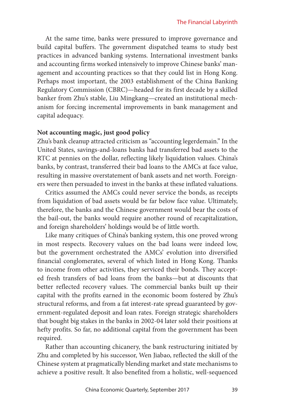At the same time, banks were pressured to improve governance and build capital buffers. The government dispatched teams to study best practices in advanced banking systems. International investment banks and accounting firms worked intensively to improve Chinese banks' management and accounting practices so that they could list in Hong Kong. Perhaps most important, the 2003 establishment of the China Banking Regulatory Commission (CBRC)—headed for its first decade by a skilled banker from Zhu's stable, Liu Mingkang—created an institutional mechanism for forcing incremental improvements in bank management and capital adequacy.

## **Not accounting magic, just good policy**

Zhu's bank cleanup attracted criticism as "accounting legerdemain." In the United States, savings-and-loans banks had transferred bad assets to the RTC at pennies on the dollar, reflecting likely liquidation values. China's banks, by contrast, transferred their bad loans to the AMCs at face value, resulting in massive overstatement of bank assets and net worth. Foreigners were then persuaded to invest in the banks at these inflated valuations.

Critics assumed the AMCs could never service the bonds, as receipts from liquidation of bad assets would be far below face value. Ultimately, therefore, the banks and the Chinese government would bear the costs of the bail-out, the banks would require another round of recapitalization, and foreign shareholders' holdings would be of little worth.

Like many critiques of China's banking system, this one proved wrong in most respects. Recovery values on the bad loans were indeed low, but the government orchestrated the AMCs' evolution into diversified financial conglomerates, several of which listed in Hong Kong. Thanks to income from other activities, they serviced their bonds. They accepted fresh transfers of bad loans from the banks—but at discounts that better reflected recovery values. The commercial banks built up their capital with the profits earned in the economic boom fostered by Zhu's structural reforms, and from a fat interest-rate spread guaranteed by government-regulated deposit and loan rates. Foreign strategic shareholders that bought big stakes in the banks in 2002-04 later sold their positions at hefty profits. So far, no additional capital from the government has been required.

Rather than accounting chicanery, the bank restructuring initiated by Zhu and completed by his successor, Wen Jiabao, reflected the skill of the Chinese system at pragmatically blending market and state mechanisms to achieve a positive result. It also benefited from a holistic, well-sequenced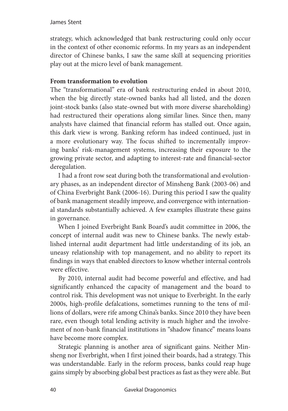strategy, which acknowledged that bank restructuring could only occur in the context of other economic reforms. In my years as an independent director of Chinese banks, I saw the same skill at sequencing priorities play out at the micro level of bank management.

## **From transformation to evolution**

The "transformational" era of bank restructuring ended in about 2010, when the big directly state-owned banks had all listed, and the dozen joint-stock banks (also state-owned but with more diverse shareholding) had restructured their operations along similar lines. Since then, many analysts have claimed that financial reform has stalled out. Once again, this dark view is wrong. Banking reform has indeed continued, just in a more evolutionary way. The focus shifted to incrementally improving banks' risk-management systems, increasing their exposure to the growing private sector, and adapting to interest-rate and financial-sector deregulation.

I had a front row seat during both the transformational and evolutionary phases, as an independent director of Minsheng Bank (2003-06) and of China Everbright Bank (2006-16). During this period I saw the quality of bank management steadily improve, and convergence with international standards substantially achieved. A few examples illustrate these gains in governance.

When I joined Everbright Bank Board's audit committee in 2006, the concept of internal audit was new to Chinese banks. The newly established internal audit department had little understanding of its job, an uneasy relationship with top management, and no ability to report its findings in ways that enabled directors to know whether internal controls were effective.

By 2010, internal audit had become powerful and effective, and had significantly enhanced the capacity of management and the board to control risk. This development was not unique to Everbright. In the early 2000s, high-profile defalcations, sometimes running to the tens of millions of dollars, were rife among China's banks. Since 2010 they have been rare, even though total lending activity is much higher and the involvement of non-bank financial institutions in "shadow finance" means loans have become more complex.

Strategic planning is another area of significant gains. Neither Minsheng nor Everbright, when I first joined their boards, had a strategy. This was understandable. Early in the reform process, banks could reap huge gains simply by absorbing global best practices as fast as they were able. But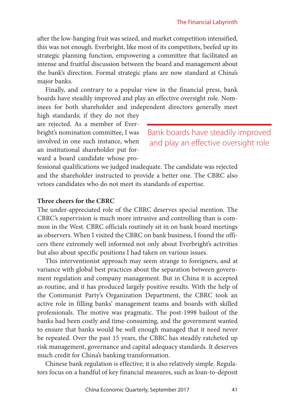after the low-hanging fruit was seized, and market competition intensified, this was not enough. Everbright, like most of its competitors, beefed up its strategic planning function, empowering a committee that facilitated an intense and fruitful discussion between the board and management about the bank's direction. Formal strategic plans are now standard at China's major banks.

Finally, and contrary to a popular view in the financial press, bank boards have steadily improved and play an effective oversight role. Nominees for both shareholder and independent directors generally meet

high standards; if they do not they are rejected. As a member of Everbright's nomination committee, I was involved in one such instance, when an institutional shareholder put forward a board candidate whose pro-

Bank boards have steadily improved and play an effective oversight role

fessional qualifications we judged inadequate. The candidate was rejected and the shareholder instructed to provide a better one. The CBRC also vetoes candidates who do not meet its standards of expertise.

### **Three cheers for the CBRC**

The under-appreciated role of the CBRC deserves special mention. The CBRC's supervision is much more intrusive and controlling than is common in the West. CBRC officials routinely sit in on bank board meetings as observers. When I visited the CBRC on bank business, I found the officers there extremely well informed not only about Everbright's activities but also about specific positions I had taken on various issues.

This interventionist approach may seem strange to foreigners, and at variance with global best practices about the separation between government regulation and company management. But in China it is accepted as routine, and it has produced largely positive results. With the help of the Communist Party's Organization Department, the CBRC took an active role in filling banks' management teams and boards with skilled professionals. The motive was pragmatic. The post-1998 bailout of the banks had been costly and time-consuming, and the government wanted to ensure that banks would be well enough managed that it need never be repeated. Over the past 15 years, the CBRC has steadily ratcheted up risk management, governance and capital adequacy standards. It deserves much credit for China's banking transformation.

Chinese bank regulation is effective; it is also relatively simple. Regulators focus on a handful of key financial measures, such as loan-to-deposit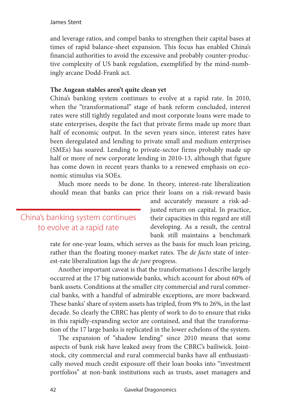### James Stent

and leverage ratios, and compel banks to strengthen their capital bases at times of rapid balance-sheet expansion. This focus has enabled China's financial authorities to avoid the excessive and probably counter-productive complexity of US bank regulation, exemplified by the mind-numbingly arcane Dodd-Frank act.

## **The Augean stables aren't quite clean yet**

China's banking system continues to evolve at a rapid rate. In 2010, when the "transformational" stage of bank reform concluded, interest rates were still tightly regulated and most corporate loans were made to state enterprises, despite the fact that private firms made up more than half of economic output. In the seven years since, interest rates have been deregulated and lending to private small and medium enterprises (SMEs) has soared. Lending to private-sector firms probably made up half or more of new corporate lending in 2010-13, although that figure has come down in recent years thanks to a renewed emphasis on economic stimulus via SOEs.

Much more needs to be done. In theory, interest-rate liberalization should mean that banks can price their loans on a risk-reward basis

## China's banking system continues to evolve at a rapid rate

and accurately measure a risk-adjusted return on capital. In practice, their capacities in this regard are still developing. As a result, the central bank still maintains a benchmark

rate for one-year loans, which serves as the basis for much loan pricing, rather than the floating money-market rates. The *de facto* state of interest-rate liberalization lags the *de jure* progress.

Another important caveat is that the transformations I describe largely occurred at the 17 big nationwide banks, which account for about 60% of bank assets. Conditions at the smaller city commercial and rural commercial banks, with a handful of admirable exceptions, are more backward. These banks' share of system assets has tripled, from 9% to 26%, in the last decade. So clearly the CBRC has plenty of work to do to ensure that risks in this rapidly-expanding sector are contained, and that the transformation of the 17 large banks is replicated in the lower echelons of the system.

The expansion of "shadow lending" since 2010 means that some aspects of bank risk have leaked away from the CBRC's bailiwick. Jointstock, city commercial and rural commercial banks have all enthusiastically moved much credit exposure off their loan books into "investment portfolios" at non-bank institutions such as trusts, asset managers and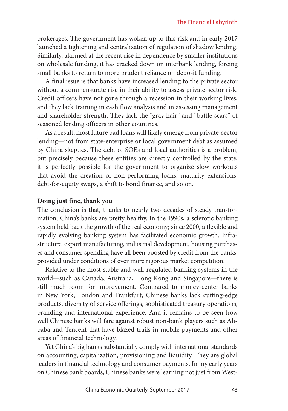brokerages. The government has woken up to this risk and in early 2017 launched a tightening and centralization of regulation of shadow lending. Similarly, alarmed at the recent rise in dependence by smaller institutions on wholesale funding, it has cracked down on interbank lending, forcing small banks to return to more prudent reliance on deposit funding.

A final issue is that banks have increased lending to the private sector without a commensurate rise in their ability to assess private-sector risk. Credit officers have not gone through a recession in their working lives, and they lack training in cash flow analysis and in assessing management and shareholder strength. They lack the "gray hair" and "battle scars" of seasoned lending officers in other countries.

As a result, most future bad loans will likely emerge from private-sector lending—not from state-enterprise or local government debt as assumed by China skeptics. The debt of SOEs and local authorities is a problem, but precisely because these entities are directly controlled by the state, it is perfectly possible for the government to organize slow workouts that avoid the creation of non-performing loans: maturity extensions, debt-for-equity swaps, a shift to bond finance, and so on.

### **Doing just fine, thank you**

The conclusion is that, thanks to nearly two decades of steady transformation, China's banks are pretty healthy. In the 1990s, a sclerotic banking system held back the growth of the real economy; since 2000, a flexible and rapidly evolving banking system has facilitated economic growth. Infrastructure, export manufacturing, industrial development, housing purchases and consumer spending have all been boosted by credit from the banks, provided under conditions of ever more rigorous market competition.

Relative to the most stable and well-regulated banking systems in the world—such as Canada, Australia, Hong Kong and Singapore—there is still much room for improvement. Compared to money-center banks in New York, London and Frankfurt, Chinese banks lack cutting-edge products, diversity of service offerings, sophisticated treasury operations, branding and international experience. And it remains to be seen how well Chinese banks will fare against robust non-bank players such as Alibaba and Tencent that have blazed trails in mobile payments and other areas of financial technology.

Yet China's big banks substantially comply with international standards on accounting, capitalization, provisioning and liquidity. They are global leaders in financial technology and consumer payments. In my early years on Chinese bank boards, Chinese banks were learning not just from West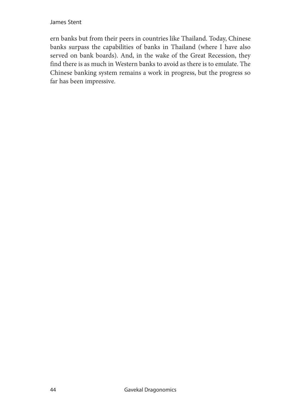James Stent

ern banks but from their peers in countries like Thailand. Today, Chinese banks surpass the capabilities of banks in Thailand (where I have also served on bank boards). And, in the wake of the Great Recession, they find there is as much in Western banks to avoid as there is to emulate. The Chinese banking system remains a work in progress, but the progress so far has been impressive.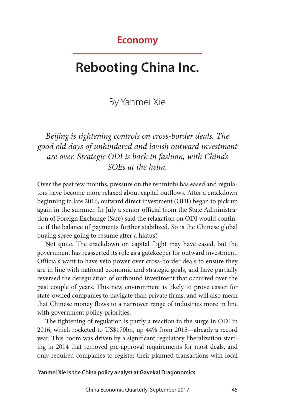## **Economy**

# **Rebooting China Inc.**

# By Yanmei Xie

# *Beijing is tightening controls on cross-border deals. The good old days of unhindered and lavish outward investment are over. Strategic ODI is back in fashion, with China's SOEs at the helm.*

Over the past few months, pressure on the renminbi has eased and regulators have become more relaxed about capital outflows. After a crackdown beginning in late 2016, outward direct investment (ODI) began to pick up again in the summer. In July a senior official from the State Administration of Foreign Exchange (Safe) said the relaxation on ODI would continue if the balance of payments further stabilized. So is the Chinese global buying spree going to resume after a hiatus?

Not quite. The crackdown on capital flight may have eased, but the government has reasserted its role as a gatekeeper for outward investment. Officials want to have veto power over cross-border deals to ensure they are in line with national economic and strategic goals, and have partially reversed the deregulation of outbound investment that occurred over the past couple of years. This new environment is likely to prove easier for state-owned companies to navigate than private firms, and will also mean that Chinese money flows to a narrower range of industries more in line with government policy priorities.

The tightening of regulation is partly a reaction to the surge in ODI in 2016, which rocketed to US\$170bn, up 44% from 2015—already a record year. This boom was driven by a significant regulatory liberalization starting in 2014 that removed pre-approval requirements for most deals, and only required companies to register their planned transactions with local

 **Yanmei Xie is the China policy analyst at Gavekal Dragonomics.**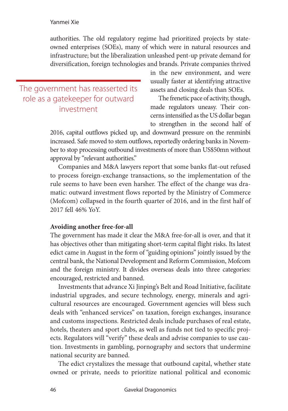### Yanmei Xie

authorities. The old regulatory regime had prioritized projects by stateowned enterprises (SOEs), many of which were in natural resources and infrastructure; but the liberalization unleashed pent-up private demand for diversification, foreign technologies and brands. Private companies thrived

The government has reasserted its role as a gatekeeper for outward investment

in the new environment, and were usually faster at identifying attractive assets and closing deals than SOEs.

The frenetic pace of activity, though, made regulators uneasy. Their concerns intensified as the US dollar began to strengthen in the second half of

2016, capital outflows picked up, and downward pressure on the renminbi increased. Safe moved to stem outflows, reportedly ordering banks in November to stop processing outbound investments of more than US\$50mn without approval by "relevant authorities."

Companies and M&A lawyers report that some banks flat-out refused to process foreign-exchange transactions, so the implementation of the rule seems to have been even harsher. The effect of the change was dramatic: outward investment flows reported by the Ministry of Commerce (Mofcom) collapsed in the fourth quarter of 2016, and in the first half of 2017 fell 46% YoY.

### **Avoiding another free-for-all**

The government has made it clear the M&A free-for-all is over, and that it has objectives other than mitigating short-term capital flight risks. Its latest edict came in August in the form of "guiding opinions" jointly issued by the central bank, the National Development and Reform Commission, Mofcom and the foreign ministry. It divides overseas deals into three categories: encouraged, restricted and banned.

Investments that advance Xi Jinping's Belt and Road Initiative, facilitate industrial upgrades, and secure technology, energy, minerals and agricultural resources are encouraged. Government agencies will bless such deals with "enhanced services" on taxation, foreign exchanges, insurance and customs inspections. Restricted deals include purchases of real estate, hotels, theaters and sport clubs, as well as funds not tied to specific projects. Regulators will "verify" these deals and advise companies to use caution. Investments in gambling, pornography and sectors that undermine national security are banned.

The edict crystalizes the message that outbound capital, whether state owned or private, needs to prioritize national political and economic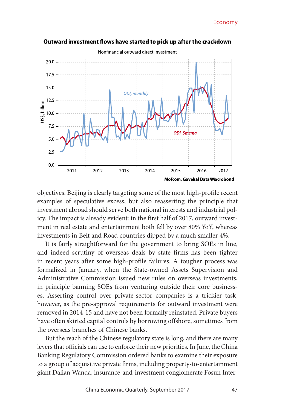

Outward investment flows have started to pick up after the crackdown

objectives. Beijing is clearly targeting some of the most high-profile recent examples of speculative excess, but also reasserting the principle that investment abroad should serve both national interests and industrial policy. The impact is already evident: in the first half of 2017, outward investment in real estate and entertainment both fell by over 80% YoY, whereas investments in Belt and Road countries dipped by a much smaller 4%.

It is fairly straightforward for the government to bring SOEs in line, and indeed scrutiny of overseas deals by state firms has been tighter in recent years after some high-profile failures. A tougher process was formalized in January, when the State-owned Assets Supervision and Administrative Commission issued new rules on overseas investments, in principle banning SOEs from venturing outside their core businesses. Asserting control over private-sector companies is a trickier task, however, as the pre-approval requirements for outward investment were removed in 2014-15 and have not been formally reinstated. Private buyers have often skirted capital controls by borrowing offshore, sometimes from the overseas branches of Chinese banks.

But the reach of the Chinese regulatory state is long, and there are many levers that officials can use to enforce their new priorities. In June, the China Banking Regulatory Commission ordered banks to examine their exposure to a group of acquisitive private firms, including property-to-entertainment giant Dalian Wanda, insurance-and-investment conglomerate Fosun Inter-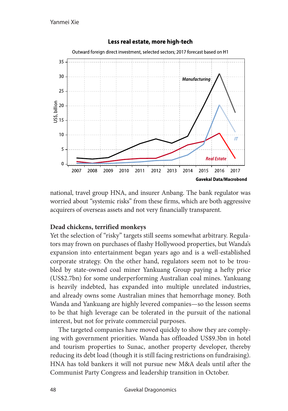

national, travel group HNA, and insurer Anbang. The bank regulator was worried about "systemic risks" from these firms, which are both aggressive acquirers of overseas assets and not very financially transparent.

## **Dead chickens, terrified monkeys**

Yet the selection of "risky" targets still seems somewhat arbitrary. Regulators may frown on purchases of flashy Hollywood properties, but Wanda's expansion into entertainment began years ago and is a well-established corporate strategy. On the other hand, regulators seem not to be troubled by state-owned coal miner Yankuang Group paying a hefty price (US\$2.7bn) for some underperforming Australian coal mines. Yankuang is heavily indebted, has expanded into multiple unrelated industries, and already owns some Australian mines that hemorrhage money. Both Wanda and Yankuang are highly levered companies—so the lesson seems to be that high leverage can be tolerated in the pursuit of the national interest, but not for private commercial purposes.

The targeted companies have moved quickly to show they are complying with government priorities. Wanda has offloaded US\$9.3bn in hotel and tourism properties to Sunac, another property developer, thereby reducing its debt load (though it is still facing restrictions on fundraising). HNA has told bankers it will not pursue new M&A deals until after the Communist Party Congress and leadership transition in October.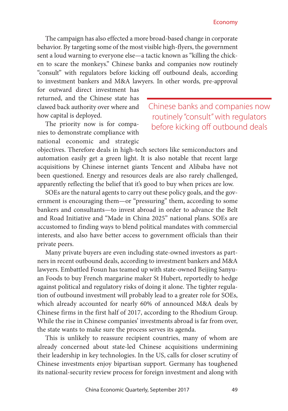The campaign has also effected a more broad-based change in corporate behavior. By targeting some of the most visible high-flyers, the government sent a loud warning to everyone else—a tactic known as "killing the chicken to scare the monkeys." Chinese banks and companies now routinely "consult" with regulators before kicking off outbound deals, according to investment bankers and M&A lawyers. In other words, pre-approval

for outward direct investment has returned, and the Chinese state has clawed back authority over where and how capital is deployed.

The priority now is for companies to demonstrate compliance with national economic and strategic Chinese banks and companies now routinely "consult" with regulators before kicking off outbound deals

objectives. Therefore deals in high-tech sectors like semiconductors and automation easily get a green light. It is also notable that recent large acquisitions by Chinese internet giants Tencent and Alibaba have not been questioned. Energy and resources deals are also rarely challenged, apparently reflecting the belief that it's good to buy when prices are low.

SOEs are the natural agents to carry out these policy goals, and the government is encouraging them—or "pressuring" them, according to some bankers and consultants—to invest abroad in order to advance the Belt and Road Initiative and "Made in China 2025" national plans. SOEs are accustomed to finding ways to blend political mandates with commercial interests, and also have better access to government officials than their private peers.

Many private buyers are even including state-owned investors as partners in recent outbound deals, according to investment bankers and M&A lawyers. Embattled Fosun has teamed up with state-owned Beijing Sanyuan Foods to buy French margarine maker St Hubert, reportedly to hedge against political and regulatory risks of doing it alone. The tighter regulation of outbound investment will probably lead to a greater role for SOEs, which already accounted for nearly 60% of announced M&A deals by Chinese firms in the first half of 2017, according to the Rhodium Group. While the rise in Chinese companies' investments abroad is far from over, the state wants to make sure the process serves its agenda.

This is unlikely to reassure recipient countries, many of whom are already concerned about state-led Chinese acquisitions undermining their leadership in key technologies. In the US, calls for closer scrutiny of Chinese investments enjoy bipartisan support. Germany has toughened its national-security review process for foreign investment and along with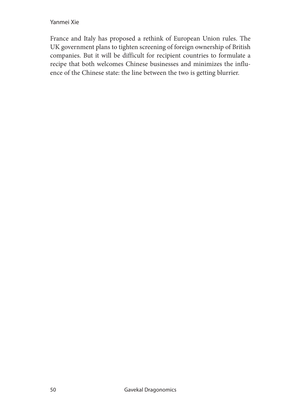### Yanmei Xie

France and Italy has proposed a rethink of European Union rules. The UK government plans to tighten screening of foreign ownership of British companies. But it will be difficult for recipient countries to formulate a recipe that both welcomes Chinese businesses and minimizes the influence of the Chinese state: the line between the two is getting blurrier.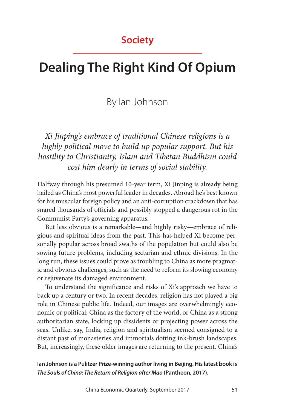# **Society**

# **Dealing The Right Kind Of Opium**

# By Ian Johnson

*Xi Jinping's embrace of traditional Chinese religions is a highly political move to build up popular support. But his hostility to Christianity, Islam and Tibetan Buddhism could cost him dearly in terms of social stability.*

Halfway through his presumed 10-year term, Xi Jinping is already being hailed as China's most powerful leader in decades. Abroad he's best known for his muscular foreign policy and an anti-corruption crackdown that has snared thousands of officials and possibly stopped a dangerous rot in the Communist Party's governing apparatus.

But less obvious is a remarkable—and highly risky—embrace of religious and spiritual ideas from the past. This has helped Xi become personally popular across broad swaths of the population but could also be sowing future problems, including sectarian and ethnic divisions. In the long run, these issues could prove as troubling to China as more pragmatic and obvious challenges, such as the need to reform its slowing economy or rejuvenate its damaged environment.

To understand the significance and risks of Xi's approach we have to back up a century or two. In recent decades, religion has not played a big role in Chinese public life. Indeed, our images are overwhelmingly economic or political: China as the factory of the world, or China as a strong authoritarian state, locking up dissidents or projecting power across the seas. Unlike, say, India, religion and spiritualism seemed consigned to a distant past of monasteries and immortals dotting ink-brush landscapes. But, increasingly, these older images are returning to the present. China's

**Ian Johnson is a Pulitzer Prize-winning author living in Beijing. His latest book is**  *The Souls of China: The Return of Religion after Mao* **(Pantheon, 2017).**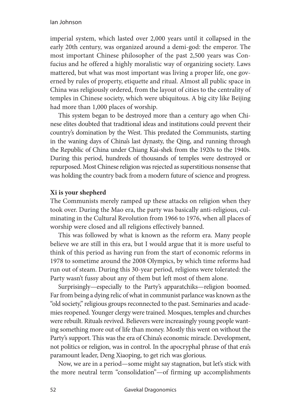### Ian Johnson

imperial system, which lasted over 2,000 years until it collapsed in the early 20th century, was organized around a demi-god: the emperor. The most important Chinese philosopher of the past 2,500 years was Confucius and he offered a highly moralistic way of organizing society. Laws mattered, but what was most important was living a proper life, one governed by rules of property, etiquette and ritual. Almost all public space in China was religiously ordered, from the layout of cities to the centrality of temples in Chinese society, which were ubiquitous. A big city like Beijing had more than 1,000 places of worship.

This system began to be destroyed more than a century ago when Chinese elites doubted that traditional ideas and institutions could prevent their country's domination by the West. This predated the Communists, starting in the waning days of China's last dynasty, the Qing, and running through the Republic of China under Chiang Kai-shek from the 1920s to the 1940s. During this period, hundreds of thousands of temples were destroyed or repurposed. Most Chinese religion was rejected as superstitious nonsense that was holding the country back from a modern future of science and progress.

### **Xi is your shepherd**

The Communists merely ramped up these attacks on religion when they took over. During the Mao era, the party was basically anti-religious, culminating in the Cultural Revolution from 1966 to 1976, when all places of worship were closed and all religions effectively banned.

This was followed by what is known as the reform era. Many people believe we are still in this era, but I would argue that it is more useful to think of this period as having run from the start of economic reforms in 1978 to sometime around the 2008 Olympics, by which time reforms had run out of steam. During this 30-year period, religions were tolerated: the Party wasn't fussy about any of them but left most of them alone.

Surprisingly—especially to the Party's apparatchiks—religion boomed. Far from being a dying relic of what in communist parlance was known as the "old society," religious groups reconnected to the past. Seminaries and academies reopened. Younger clergy were trained. Mosques, temples and churches were rebuilt. Rituals revived. Believers were increasingly young people wanting something more out of life than money. Mostly this went on without the Party's support. This was the era of China's economic miracle. Development, not politics or religion, was in control. In the apocryphal phrase of that era's paramount leader, Deng Xiaoping, to get rich was glorious.

Now, we are in a period—some might say stagnation, but let's stick with the more neutral term "consolidation"—of firming up accomplishments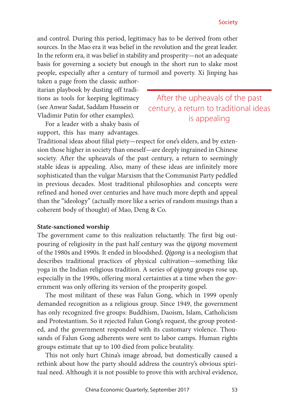and control. During this period, legitimacy has to be derived from other sources. In the Mao era it was belief in the revolution and the great leader. In the reform era, it was belief in stability and prosperity—not an adequate basis for governing a society but enough in the short run to slake most people, especially after a century of turmoil and poverty. Xi Jinping has

taken a page from the classic authoritarian playbook by dusting off traditions as tools for keeping legitimacy (see Anwar Sadat, Saddam Hussein or Vladimir Putin for other examples).

For a leader with a shaky basis of support, this has many advantages.

After the upheavals of the past century, a return to traditional ideas is appealing

Traditional ideas about filial piety—respect for one's elders, and by extension those higher in society than oneself—are deeply ingrained in Chinese society. After the upheavals of the past century, a return to seemingly stable ideas is appealing. Also, many of these ideas are infinitely more sophisticated than the vulgar Marxism that the Communist Party peddled in previous decades. Most traditional philosophies and concepts were refined and honed over centuries and have much more depth and appeal than the "ideology" (actually more like a series of random musings than a coherent body of thought) of Mao, Deng & Co.

### **State-sanctioned worship**

The government came to this realization reluctantly. The first big outpouring of religiosity in the past half century was the *qigong* movement of the 1980s and 1990s. It ended in bloodshed. *Qigong* is a neologism that describes traditional practices of physical cultivation—something like yoga in the Indian religious tradition. A series of *qigong* groups rose up, especially in the 1990s, offering moral certainties at a time when the government was only offering its version of the prosperity gospel.

The most militant of these was Falun Gong, which in 1999 openly demanded recognition as a religious group. Since 1949, the government has only recognized five groups: Buddhism, Daoism, Islam, Catholicism and Protestantism. So it rejected Falun Gong's request, the group protested, and the government responded with its customary violence. Thousands of Falun Gong adherents were sent to labor camps. Human rights groups estimate that up to 100 died from police brutality.

This not only hurt China's image abroad, but domestically caused a rethink about how the party should address the country's obvious spiritual need. Although it is not possible to prove this with archival evidence,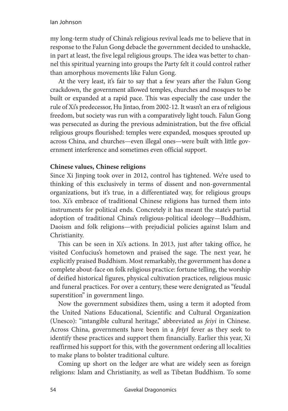my long-term study of China's religious revival leads me to believe that in response to the Falun Gong debacle the government decided to unshackle, in part at least, the five legal religious groups. The idea was better to channel this spiritual yearning into groups the Party felt it could control rather than amorphous movements like Falun Gong.

At the very least, it's fair to say that a few years after the Falun Gong crackdown, the government allowed temples, churches and mosques to be built or expanded at a rapid pace. This was especially the case under the rule of Xi's predecessor, Hu Jintao, from 2002-12. It wasn't an era of religious freedom, but society was run with a comparatively light touch. Falun Gong was persecuted as during the previous administration, but the five official religious groups flourished: temples were expanded, mosques sprouted up across China, and churches—even illegal ones—were built with little government interference and sometimes even official support.

## **Chinese values, Chinese religions**

Since Xi Jinping took over in 2012, control has tightened. We're used to thinking of this exclusively in terms of dissent and non-governmental organizations, but it's true, in a differentiated way, for religious groups too. Xi's embrace of traditional Chinese religions has turned them into instruments for political ends. Concretely it has meant the state's partial adoption of traditional China's religious-political ideology—Buddhism, Daoism and folk religions—with prejudicial policies against Islam and Christianity.

This can be seen in Xi's actions. In 2013, just after taking office, he visited Confucius's hometown and praised the sage. The next year, he explicitly praised Buddhism. Most remarkably, the government has done a complete about-face on folk religious practice: fortune telling, the worship of deified historical figures, physical cultivation practices, religious music and funeral practices. For over a century, these were denigrated as "feudal superstition" in government lingo.

Now the government subsidizes them, using a term it adopted from the United Nations Educational, Scientific and Cultural Organization (Unesco): "intangible cultural heritage," abbreviated as *feiyi* in Chinese. Across China, governments have been in a *feiyi* fever as they seek to identify these practices and support them financially. Earlier this year, Xi reaffirmed his support for this, with the government ordering all localities to make plans to bolster traditional culture.

Coming up short on the ledger are what are widely seen as foreign religions: Islam and Christianity, as well as Tibetan Buddhism. To some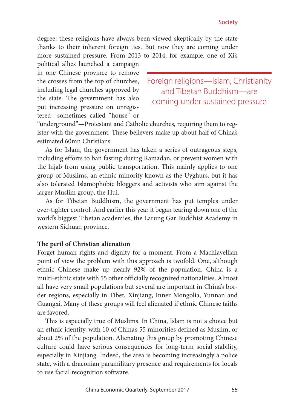degree, these religions have always been viewed skeptically by the state thanks to their inherent foreign ties. But now they are coming under more sustained pressure. From 2013 to 2014, for example, one of Xi's

political allies launched a campaign in one Chinese province to remove the crosses from the top of churches, including legal churches approved by the state. The government has also put increasing pressure on unregistered—sometimes called "house" or

Foreign religions—Islam, Christianity and Tibetan Buddhism—are coming under sustained pressure

"underground"—Protestant and Catholic churches, requiring them to register with the government. These believers make up about half of China's estimated 60mn Christians.

As for Islam, the government has taken a series of outrageous steps, including efforts to ban fasting during Ramadan, or prevent women with the hijab from using public transportation. This mainly applies to one group of Muslims, an ethnic minority known as the Uyghurs, but it has also tolerated Islamophobic bloggers and activists who aim against the larger Muslim group, the Hui.

As for Tibetan Buddhism, the government has put temples under ever-tighter control. And earlier this year it began tearing down one of the world's biggest Tibetan academies, the Larung Gar Buddhist Academy in western Sichuan province.

### **The peril of Christian alienation**

Forget human rights and dignity for a moment. From a Machiavellian point of view the problem with this approach is twofold. One, although ethnic Chinese make up nearly 92% of the population, China is a multi-ethnic state with 55 other officially recognized nationalities. Almost all have very small populations but several are important in China's border regions, especially in Tibet, Xinjiang, Inner Mongolia, Yunnan and Guangxi. Many of these groups will feel alienated if ethnic Chinese faiths are favored.

This is especially true of Muslims. In China, Islam is not a choice but an ethnic identity, with 10 of China's 55 minorities defined as Muslim, or about 2% of the population. Alienating this group by promoting Chinese culture could have serious consequences for long-term social stability, especially in Xinjiang. Indeed, the area is becoming increasingly a police state, with a draconian paramilitary presence and requirements for locals to use facial recognition software.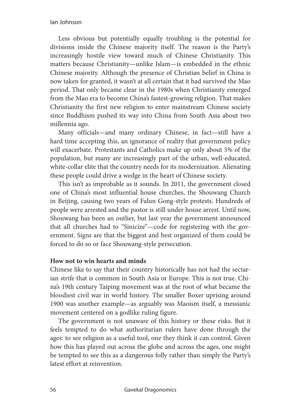Less obvious but potentially equally troubling is the potential for divisions inside the Chinese majority itself. The reason is the Party's increasingly hostile view toward much of Chinese Christianity. This matters because Christianity—unlike Islam—is embedded in the ethnic Chinese majority. Although the presence of Christian belief in China is now taken for granted, it wasn't at all certain that it had survived the Mao period. That only became clear in the 1980s when Christianity emerged from the Mao era to become China's fastest-growing religion. That makes Christianity the first new religion to enter mainstream Chinese society since Buddhism pushed its way into China from South Asia about two millennia ago.

Many officials—and many ordinary Chinese, in fact—still have a hard time accepting this, an ignorance of reality that government policy will exacerbate. Protestants and Catholics make up only about 5% of the population, but many are increasingly part of the urban, well-educated, white-collar elite that the country needs for its modernization. Alienating these people could drive a wedge in the heart of Chinese society.

This isn't as improbable as it sounds. In 2011, the government closed one of China's most influential house churches, the Shouwang Church in Beijing, causing two years of Falun Gong-style protests. Hundreds of people were arrested and the pastor is still under house arrest. Until now, Shouwang has been an outlier, but last year the government announced that all churches had to "Sinicize"—code for registering with the government. Signs are that the biggest and best organized of them could be forced to do so or face Shouwang-style persecution.

### **How not to win hearts and minds**

Chinese like to say that their country historically has not had the sectarian strife that is common in South Asia or Europe. This is not true. China's 19th century Taiping movement was at the root of what became the bloodiest civil war in world history. The smaller Boxer uprising around 1900 was another example—as arguably was Maoism itself, a messianic movement centered on a godlike ruling figure.

The government is not unaware of this history or these risks. But it feels tempted to do what authoritarian rulers have done through the ages: to see religion as a useful tool, one they think it can control. Given how this has played out across the globe and across the ages, one might be tempted to see this as a dangerous folly rather than simply the Party's latest effort at reinvention.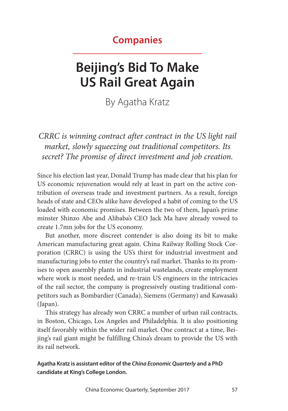# **Companies**

# **Beijing's Bid To Make US Rail Great Again**

By Agatha Kratz

*CRRC is winning contract after contract in the US light rail market, slowly squeezing out traditional competitors. Its secret? The promise of direct investment and job creation.*

Since his election last year, Donald Trump has made clear that his plan for US economic rejuvenation would rely at least in part on the active contribution of overseas trade and investment partners. As a result, foreign heads of state and CEOs alike have developed a habit of coming to the US loaded with economic promises. Between the two of them, Japan's prime minster Shinzo Abe and Alibaba's CEO Jack Ma have already vowed to create 1.7mn jobs for the US economy.

But another, more discreet contender is also doing its bit to make American manufacturing great again. China Railway Rolling Stock Corporation (CRRC) is using the US's thirst for industrial investment and manufacturing jobs to enter the country's rail market. Thanks to its promises to open assembly plants in industrial wastelands, create employment where work is most needed, and re-train US engineers in the intricacies of the rail sector, the company is progressively ousting traditional competitors such as Bombardier (Canada), Siemens (Germany) and Kawasaki (Japan).

This strategy has already won CRRC a number of urban rail contracts, in Boston, Chicago, Los Angeles and Philadelphia. It is also positioning itself favorably within the wider rail market. One contract at a time, Beijing's rail giant might be fulfilling China's dream to provide the US with its rail network.

**Agatha Kratz is assistant editor of the** *China Economic Quarterly* **and a PhD candidate at King's College London.**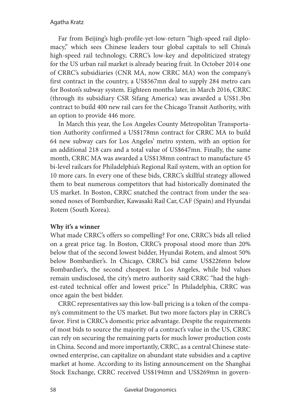Far from Beijing's high-profile-yet-low-return "high-speed rail diplomacy," which sees Chinese leaders tour global capitals to sell China's high-speed rail technology, CRRC's low-key and depoliticized strategy for the US urban rail market is already bearing fruit. In October 2014 one of CRRC's subsidiaries (CNR MA, now CRRC MA) won the company's first contract in the country, a US\$567mn deal to supply 284 metro cars for Boston's subway system. Eighteen months later, in March 2016, CRRC (through its subsidiary CSR Sifang America) was awarded a US\$1.3bn contract to build 400 new rail cars for the Chicago Transit Authority, with an option to provide 446 more.

In March this year, the Los Angeles County Metropolitan Transportation Authority confirmed a US\$178mn contract for CRRC MA to build 64 new subway cars for Los Angeles' metro system, with an option for an additional 218 cars and a total value of US\$647mn. Finally, the same month, CRRC MA was awarded a US\$138mn contract to manufacture 45 bi-level railcars for Philadelphia's Regional Rail system, with an option for 10 more cars. In every one of these bids, CRRC's skillful strategy allowed them to beat numerous competitors that had historically dominated the US market. In Boston, CRRC snatched the contract from under the seasoned noses of Bombardier, Kawasaki Rail Car, CAF (Spain) and Hyundai Rotem (South Korea).

## **Why it's a winner**

What made CRRC's offers so compelling? For one, CRRC's bids all relied on a great price tag. In Boston, CRRC's proposal stood more than 20% below that of the second lowest bidder, Hyundai Rotem, and almost 50% below Bombardier's. In Chicago, CRRC's bid came US\$226mn below Bombardier's, the second cheapest. In Los Angeles, while bid values remain undisclosed, the city's metro authority said CRRC "had the highest-rated technical offer and lowest price." In Philadelphia, CRRC was once again the best bidder.

CRRC representatives say this low-ball pricing is a token of the company's commitment to the US market. But two more factors play in CRRC's favor. First is CRRC's domestic price advantage. Despite the requirements of most bids to source the majority of a contract's value in the US, CRRC can rely on securing the remaining parts for much lower production costs in China. Second and more importantly, CRRC, as a central Chinese stateowned enterprise, can capitalize on abundant state subsidies and a captive market at home. According to its listing announcement on the Shanghai Stock Exchange, CRRC received US\$194mn and US\$269mn in govern-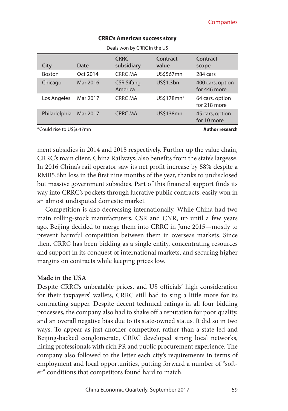| Deals won by CRRC in the US |                        |                              |                   |                                  |  |
|-----------------------------|------------------------|------------------------------|-------------------|----------------------------------|--|
| <b>City</b>                 | Date                   | <b>CRRC</b><br>subsidiary    | Contract<br>value | Contract<br>scope                |  |
| <b>Boston</b>               | Oct 2014               | CRRC MA                      | US\$567mn         | 284 cars                         |  |
| Chicago                     | Mar 2016               | <b>CSR Sifang</b><br>America | US\$1.3bn         | 400 cars, option<br>for 446 more |  |
| Los Angeles                 | Mar 2017               | <b>CRRC MA</b>               | US\$178mn*        | 64 cars, option<br>for 218 more  |  |
| Philadelphia                | Mar 2017               | <b>CRRC MA</b>               | US\$138mn         | 45 cars, option<br>for 10 more   |  |
| *Could rise to US\$647mn    | <b>Author research</b> |                              |                   |                                  |  |

#### **CRRC's American success story**

ment subsidies in 2014 and 2015 respectively. Further up the value chain, CRRC's main client, China Railways, also benefits from the state's largesse. In 2016 China's rail operator saw its net profit increase by 58% despite a RMB5.6bn loss in the first nine months of the year, thanks to undisclosed but massive government subsidies. Part of this financial support finds its way into CRRC's pockets through lucrative public contracts, easily won in an almost undisputed domestic market.

Competition is also decreasing internationally. While China had two main rolling-stock manufacturers, CSR and CNR, up until a few years ago, Beijing decided to merge them into CRRC in June 2015—mostly to prevent harmful competition between them in overseas markets. Since then, CRRC has been bidding as a single entity, concentrating resources and support in its conquest of international markets, and securing higher margins on contracts while keeping prices low.

### **Made in the USA**

Despite CRRC's unbeatable prices, and US officials' high consideration for their taxpayers' wallets, CRRC still had to sing a little more for its contracting supper. Despite decent technical ratings in all four bidding processes, the company also had to shake off a reputation for poor quality, and an overall negative bias due to its state-owned status. It did so in two ways. To appear as just another competitor, rather than a state-led and Beijing-backed conglomerate, CRRC developed strong local networks, hiring professionals with rich PR and public procurement experience. The company also followed to the letter each city's requirements in terms of employment and local opportunities, putting forward a number of "softer" conditions that competitors found hard to match.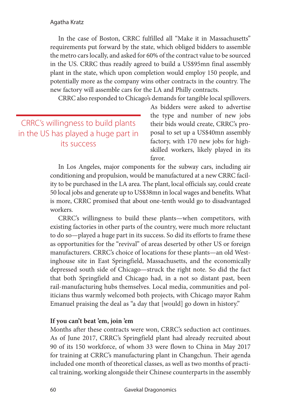### Agatha Kratz

In the case of Boston, CRRC fulfilled all "Make it in Massachusetts" requirements put forward by the state, which obliged bidders to assemble the metro cars locally, and asked for 60% of the contract value to be sourced in the US. CRRC thus readily agreed to build a US\$95mn final assembly plant in the state, which upon completion would employ 150 people, and potentially more as the company wins other contracts in the country. The new factory will assemble cars for the LA and Philly contracts.

CRRC also responded to Chicago's demands for tangible local spillovers.

CRRC's willingness to build plants in the US has played a huge part in its success

As bidders were asked to advertise the type and number of new jobs their bids would create, CRRC's proposal to set up a US\$40mn assembly factory, with 170 new jobs for highskilled workers, likely played in its favor.

In Los Angeles, major components for the subway cars, including air conditioning and propulsion, would be manufactured at a new CRRC facility to be purchased in the LA area. The plant, local officials say, could create 50 local jobs and generate up to US\$38mn in local wages and benefits. What is more, CRRC promised that about one-tenth would go to disadvantaged workers.

CRRC's willingness to build these plants—when competitors, with existing factories in other parts of the country, were much more reluctant to do so—played a huge part in its success. So did its efforts to frame these as opportunities for the "revival" of areas deserted by other US or foreign manufacturers. CRRC's choice of locations for these plants—an old Westinghouse site in East Springfield, Massachusetts, and the economically depressed south side of Chicago—struck the right note. So did the fact that both Springfield and Chicago had, in a not so distant past, been rail-manufacturing hubs themselves. Local media, communities and politicians thus warmly welcomed both projects, with Chicago mayor Rahm Emanuel praising the deal as "a day that [would] go down in history."

## **If you can't beat 'em, join 'em**

Months after these contracts were won, CRRC's seduction act continues. As of June 2017, CRRC's Springfield plant had already recruited about 90 of its 150 workforce, of whom 33 were flown to China in May 2017 for training at CRRC's manufacturing plant in Changchun. Their agenda included one month of theoretical classes, as well as two months of practical training, working alongside their Chinese counterparts in the assembly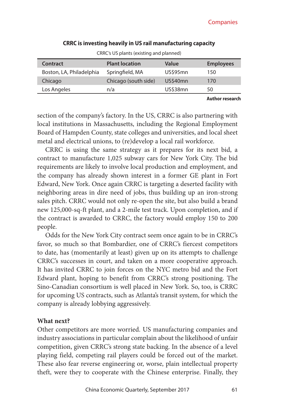| <b>Contract</b>          | <b>Plant location</b> | Value           | <b>Employees</b>       |  |
|--------------------------|-----------------------|-----------------|------------------------|--|
| Boston, LA, Philadelphia | Springfield, MA       | <b>US\$95mn</b> | 150                    |  |
| Chicago                  | Chicago (south side)  | <b>US\$40mn</b> | 170                    |  |
| Los Angeles              | n/a                   | <b>US\$38mn</b> | 50                     |  |
|                          |                       |                 | <b>Author research</b> |  |

### **CRRC is investing heavily in US rail manufacturing capacity** CRRC's US plants (existing and planned)

section of the company's factory. In the US, CRRC is also partnering with local institutions in Massachusetts, including the Regional Employment Board of Hampden County, state colleges and universities, and local sheet metal and electrical unions, to (re)develop a local rail workforce.

CRRC is using the same strategy as it prepares for its next bid, a contract to manufacture 1,025 subway cars for New York City. The bid requirements are likely to involve local production and employment, and the company has already shown interest in a former GE plant in Fort Edward, New York. Once again CRRC is targeting a deserted facility with neighboring areas in dire need of jobs, thus building up an iron-strong sales pitch. CRRC would not only re-open the site, but also build a brand new 125,000-sq-ft plant, and a 2-mile test track. Upon completion, and if the contract is awarded to CRRC, the factory would employ 150 to 200 people.

Odds for the New York City contract seem once again to be in CRRC's favor, so much so that Bombardier, one of CRRC's fiercest competitors to date, has (momentarily at least) given up on its attempts to challenge CRRC's successes in court, and taken on a more cooperative approach. It has invited CRRC to join forces on the NYC metro bid and the Fort Edward plant, hoping to benefit from CRRC's strong positioning. The Sino-Canadian consortium is well placed in New York. So, too, is CRRC for upcoming US contracts, such as Atlanta's transit system, for which the company is already lobbying aggressively.

### **What next?**

Other competitors are more worried. US manufacturing companies and industry associations in particular complain about the likelihood of unfair competition, given CRRC's strong state backing. In the absence of a level playing field, competing rail players could be forced out of the market. These also fear reverse engineering or, worse, plain intellectual property theft, were they to cooperate with the Chinese enterprise. Finally, they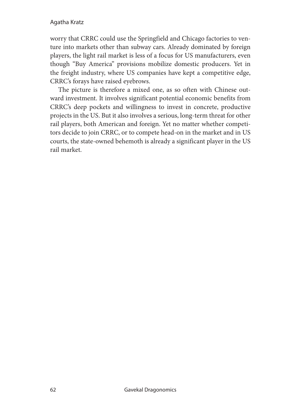## Agatha Kratz

worry that CRRC could use the Springfield and Chicago factories to venture into markets other than subway cars. Already dominated by foreign players, the light rail market is less of a focus for US manufacturers, even though "Buy America" provisions mobilize domestic producers. Yet in the freight industry, where US companies have kept a competitive edge, CRRC's forays have raised eyebrows.

The picture is therefore a mixed one, as so often with Chinese outward investment. It involves significant potential economic benefits from CRRC's deep pockets and willingness to invest in concrete, productive projects in the US. But it also involves a serious, long-term threat for other rail players, both American and foreign. Yet no matter whether competitors decide to join CRRC, or to compete head-on in the market and in US courts, the state-owned behemoth is already a significant player in the US rail market.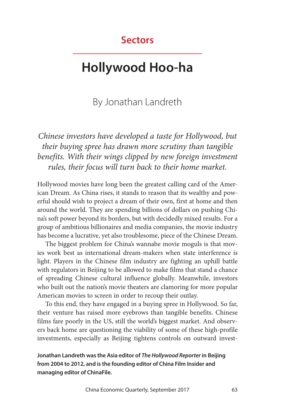# **Sectors**

# **Hollywood Hoo-ha**

# By Jonathan Landreth

*Chinese investors have developed a taste for Hollywood, but their buying spree has drawn more scrutiny than tangible benefits. With their wings clipped by new foreign investment rules, their focus will turn back to their home market.*

Hollywood movies have long been the greatest calling card of the American Dream. As China rises, it stands to reason that its wealthy and powerful should wish to project a dream of their own, first at home and then around the world. They are spending billions of dollars on pushing China's soft power beyond its borders, but with decidedly mixed results. For a group of ambitious billionaires and media companies, the movie industry has become a lucrative, yet also troublesome, piece of the Chinese Dream.

The biggest problem for China's wannabe movie moguls is that movies work best as international dream-makers when state interference is light. Players in the Chinese film industry are fighting an uphill battle with regulators in Beijing to be allowed to make films that stand a chance of spreading Chinese cultural influence globally. Meanwhile, investors who built out the nation's movie theaters are clamoring for more popular American movies to screen in order to recoup their outlay.

To this end, they have engaged in a buying spree in Hollywood. So far, their venture has raised more eyebrows than tangible benefits. Chinese films fare poorly in the US, still the world's biggest market. And observers back home are questioning the viability of some of these high-profile investments, especially as Beijing tightens controls on outward invest-

**Jonathan Landreth was the Asia editor of** *The Hollywood Reporter* **in Beijing from 2004 to 2012, and is the founding editor of China Film Insider and managing editor of ChinaFile.**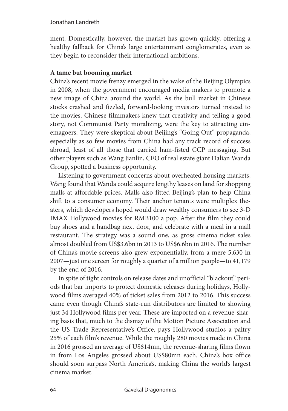### Jonathan Landreth

ment. Domestically, however, the market has grown quickly, offering a healthy fallback for China's large entertainment conglomerates, even as they begin to reconsider their international ambitions.

## **A tame but booming market**

China's recent movie frenzy emerged in the wake of the Beijing Olympics in 2008, when the government encouraged media makers to promote a new image of China around the world. As the bull market in Chinese stocks crashed and fizzled, forward-looking investors turned instead to the movies. Chinese filmmakers knew that creativity and telling a good story, not Communist Party moralizing, were the key to attracting cinemagoers. They were skeptical about Beijing's "Going Out" propaganda, especially as so few movies from China had any track record of success abroad, least of all those that carried ham-fisted CCP messaging. But other players such as Wang Jianlin, CEO of real estate giant Dalian Wanda Group, spotted a business opportunity.

Listening to government concerns about overheated housing markets, Wang found that Wanda could acquire lengthy leases on land for shopping malls at affordable prices. Malls also fitted Beijing's plan to help China shift to a consumer economy. Their anchor tenants were multiplex theaters, which developers hoped would draw wealthy consumers to see 3-D IMAX Hollywood movies for RMB100 a pop. After the film they could buy shoes and a handbag next door, and celebrate with a meal in a mall restaurant. The strategy was a sound one, as gross cinema ticket sales almost doubled from US\$3.6bn in 2013 to US\$6.6bn in 2016. The number of China's movie screens also grew exponentially, from a mere 5,630 in 2007—just one screen for roughly a quarter of a million people—to 41,179 by the end of 2016.

In spite of tight controls on release dates and unofficial "blackout" periods that bar imports to protect domestic releases during holidays, Hollywood films averaged 40% of ticket sales from 2012 to 2016. This success came even though China's state-run distributors are limited to showing just 34 Hollywood films per year. These are imported on a revenue-sharing basis that, much to the dismay of the Motion Picture Association and the US Trade Representative's Office, pays Hollywood studios a paltry 25% of each film's revenue. While the roughly 280 movies made in China in 2016 grossed an average of US\$14mn, the revenue-sharing films flown in from Los Angeles grossed about US\$80mn each. China's box office should soon surpass North America's, making China the world's largest cinema market.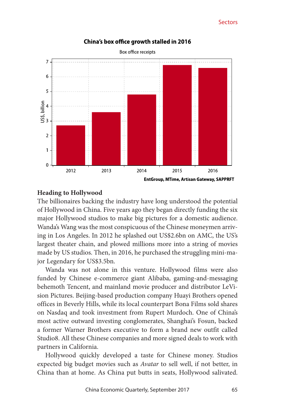

### China's box office growth stalled in 2016

### **Heading to Hollywood**

The billionaires backing the industry have long understood the potential of Hollywood in China. Five years ago they began directly funding the six major Hollywood studios to make big pictures for a domestic audience. Wanda's Wang was the most conspicuous of the Chinese moneymen arriving in Los Angeles. In 2012 he splashed out US\$2.6bn on AMC, the US's largest theater chain, and plowed millions more into a string of movies made by US studios. Then, in 2016, he purchased the struggling mini-major Legendary for US\$3.5bn.

Wanda was not alone in this venture. Hollywood films were also funded by Chinese e-commerce giant Alibaba, gaming-and-messaging behemoth Tencent, and mainland movie producer and distributor LeVision Pictures. Beijing-based production company Huayi Brothers opened offices in Beverly Hills, while its local counterpart Bona Films sold shares on Nasdaq and took investment from Rupert Murdoch. One of China's most active outward investing conglomerates, Shanghai's Fosun, backed a former Warner Brothers executive to form a brand new outfit called Studio8. All these Chinese companies and more signed deals to work with partners in California.

Hollywood quickly developed a taste for Chinese money. Studios expected big budget movies such as *Avatar* to sell well, if not better, in China than at home. As China put butts in seats, Hollywood salivated.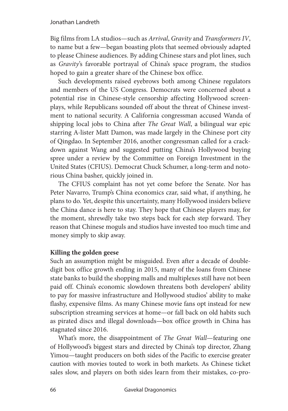Big films from LA studios—such as *Arrival*, *Gravity* and *Transformers IV*, to name but a few—began boasting plots that seemed obviously adapted to please Chinese audiences. By adding Chinese stars and plot lines, such as *Gravity*'s favorable portrayal of China's space program, the studios hoped to gain a greater share of the Chinese box office.

Such developments raised eyebrows both among Chinese regulators and members of the US Congress. Democrats were concerned about a potential rise in Chinese-style censorship affecting Hollywood screenplays, while Republicans sounded off about the threat of Chinese investment to national security. A California congressman accused Wanda of shipping local jobs to China after *The Great Wall*, a bilingual war epic starring A-lister Matt Damon, was made largely in the Chinese port city of Qingdao. In September 2016, another congressman called for a crackdown against Wang and suggested putting China's Hollywood buying spree under a review by the Committee on Foreign Investment in the United States (CFIUS). Democrat Chuck Schumer, a long-term and notorious China basher, quickly joined in.

The CFIUS complaint has not yet come before the Senate. Nor has Peter Navarro, Trump's China economics czar, said what, if anything, he plans to do. Yet, despite this uncertainty, many Hollywood insiders believe the China dance is here to stay. They hope that Chinese players may, for the moment, shrewdly take two steps back for each step forward. They reason that Chinese moguls and studios have invested too much time and money simply to skip away.

## **Killing the golden geese**

Such an assumption might be misguided. Even after a decade of doubledigit box office growth ending in 2015, many of the loans from Chinese state banks to build the shopping malls and multiplexes still have not been paid off. China's economic slowdown threatens both developers' ability to pay for massive infrastructure and Hollywood studios' ability to make flashy, expensive films. As many Chinese movie fans opt instead for new subscription streaming services at home—or fall back on old habits such as pirated discs and illegal downloads—box office growth in China has stagnated since 2016.

What's more, the disappointment of *The Great Wall*—featuring one of Hollywood's biggest stars and directed by China's top director, Zhang Yimou—taught producers on both sides of the Pacific to exercise greater caution with movies touted to work in both markets. As Chinese ticket sales slow, and players on both sides learn from their mistakes, co-pro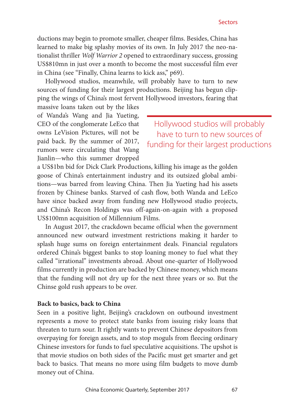ductions may begin to promote smaller, cheaper films. Besides, China has learned to make big splashy movies of its own. In July 2017 the neo-nationalist thriller *Wolf Warrior 2* opened to extraordinary success, grossing US\$810mn in just over a month to become the most successful film ever in China (see "Finally, China learns to kick ass," p69).

Hollywood studios, meanwhile, will probably have to turn to new sources of funding for their largest productions. Beijing has begun clipping the wings of China's most fervent Hollywood investors, fearing that

massive loans taken out by the likes of Wanda's Wang and Jia Yueting, CEO of the conglomerate LeEco that owns LeVision Pictures, will not be paid back. By the summer of 2017, rumors were circulating that Wang Jianlin—who this summer dropped

Hollywood studios will probably have to turn to new sources of funding for their largest productions

a US\$1bn bid for Dick Clark Productions, killing his image as the golden goose of China's entertainment industry and its outsized global ambitions—was barred from leaving China. Then Jia Yueting had his assets frozen by Chinese banks. Starved of cash flow, both Wanda and LeEco have since backed away from funding new Hollywood studio projects, and China's Recon Holdings was off-again-on-again with a proposed US\$100mn acquisition of Millennium Films.

In August 2017, the crackdown became official when the government announced new outward investment restrictions making it harder to splash huge sums on foreign entertainment deals. Financial regulators ordered China's biggest banks to stop loaning money to fuel what they called "irrational" investments abroad. About one-quarter of Hollywood films currently in production are backed by Chinese money, which means that the funding will not dry up for the next three years or so. But the Chinse gold rush appears to be over.

### **Back to basics, back to China**

Seen in a positive light, Beijing's crackdown on outbound investment represents a move to protect state banks from issuing risky loans that threaten to turn sour. It rightly wants to prevent Chinese depositors from overpaying for foreign assets, and to stop moguls from fleecing ordinary Chinese investors for funds to fuel speculative acquisitions. The upshot is that movie studios on both sides of the Pacific must get smarter and get back to basics. That means no more using film budgets to move dumb money out of China.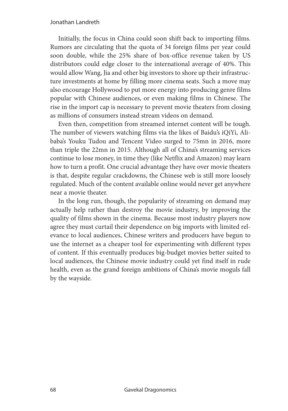Initially, the focus in China could soon shift back to importing films. Rumors are circulating that the quota of 34 foreign films per year could soon double, while the 25% share of box-office revenue taken by US distributors could edge closer to the international average of 40%. This would allow Wang, Jia and other big investors to shore up their infrastructure investments at home by filling more cinema seats. Such a move may also encourage Hollywood to put more energy into producing genre films popular with Chinese audiences, or even making films in Chinese. The rise in the import cap is necessary to prevent movie theaters from closing as millions of consumers instead stream videos on demand.

Even then, competition from streamed internet content will be tough. The number of viewers watching films via the likes of Baidu's iQiYi, Alibaba's Youku Tudou and Tencent Video surged to 75mn in 2016, more than triple the 22mn in 2015. Although all of China's streaming services continue to lose money, in time they (like Netflix and Amazon) may learn how to turn a profit. One crucial advantage they have over movie theaters is that, despite regular crackdowns, the Chinese web is still more loosely regulated. Much of the content available online would never get anywhere near a movie theater.

In the long run, though, the popularity of streaming on demand may actually help rather than destroy the movie industry, by improving the quality of films shown in the cinema. Because most industry players now agree they must curtail their dependence on big imports with limited relevance to local audiences, Chinese writers and producers have begun to use the internet as a cheaper tool for experimenting with different types of content. If this eventually produces big-budget movies better suited to local audiences, the Chinese movie industry could yet find itself in rude health, even as the grand foreign ambitions of China's movie moguls fall by the wayside.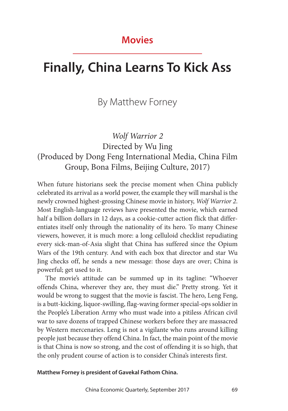# **Movies**

# **Finally, China Learns To Kick Ass**

# By Matthew Forney

# *Wolf Warrior 2* Directed by Wu Jing (Produced by Dong Feng International Media, China Film Group, Bona Films, Beijing Culture, 2017)

When future historians seek the precise moment when China publicly celebrated its arrival as a world power, the example they will marshal is the newly crowned highest-grossing Chinese movie in history, *Wolf Warrior 2*. Most English-language reviews have presented the movie, which earned half a billion dollars in 12 days, as a cookie-cutter action flick that differentiates itself only through the nationality of its hero. To many Chinese viewers, however, it is much more: a long celluloid checklist repudiating every sick-man-of-Asia slight that China has suffered since the Opium Wars of the 19th century. And with each box that director and star Wu Jing checks off, he sends a new message: those days are over; China is powerful; get used to it.

The movie's attitude can be summed up in its tagline: "Whoever offends China, wherever they are, they must die." Pretty strong. Yet it would be wrong to suggest that the movie is fascist. The hero, Leng Feng, is a butt-kicking, liquor-swilling, flag-waving former special-ops soldier in the People's Liberation Army who must wade into a pitiless African civil war to save dozens of trapped Chinese workers before they are massacred by Western mercenaries. Leng is not a vigilante who runs around killing people just because they offend China. In fact, the main point of the movie is that China is now so strong, and the cost of offending it is so high, that the only prudent course of action is to consider China's interests first.

**Matthew Forney is president of Gavekal Fathom China.**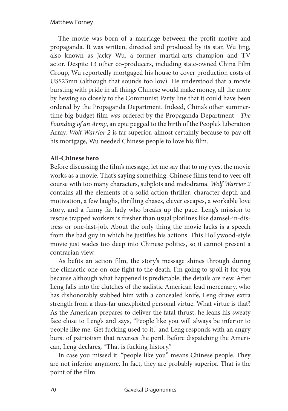### Matthew Forney

The movie was born of a marriage between the profit motive and propaganda. It was written, directed and produced by its star, Wu Jing, also known as Jacky Wu, a former martial-arts champion and TV actor. Despite 13 other co-producers, including state-owned China Film Group, Wu reportedly mortgaged his house to cover production costs of US\$23mn (although that sounds too low). He understood that a movie bursting with pride in all things Chinese would make money, all the more by hewing so closely to the Communist Party line that it could have been ordered by the Propaganda Department. Indeed, China's other summertime big-budget film *was* ordered by the Propaganda Department—*The Founding of an Army*, an epic pegged to the birth of the People's Liberation Army. *Wolf Warrior 2* is far superior, almost certainly because to pay off his mortgage, Wu needed Chinese people to love his film.

## **All-Chinese hero**

Before discussing the film's message, let me say that to my eyes, the movie works as a movie. That's saying something: Chinese films tend to veer off course with too many characters, subplots and melodrama. *Wolf Warrior 2* contains all the elements of a solid action thriller: character depth and motivation, a few laughs, thrilling chases, clever escapes, a workable love story, and a funny fat lady who breaks up the pace. Leng's mission to rescue trapped workers is fresher than usual plotlines like damsel-in-distress or one-last-job. About the only thing the movie lacks is a speech from the bad guy in which he justifies his actions. This Hollywood-style movie just wades too deep into Chinese politics, so it cannot present a contrarian view.

As befits an action film, the story's message shines through during the climactic one-on-one fight to the death. I'm going to spoil it for you because although what happened is predictable, the details are new. After Leng falls into the clutches of the sadistic American lead mercenary, who has dishonorably stabbed him with a concealed knife, Leng draws extra strength from a thus-far unexploited personal virtue. What virtue is that? As the American prepares to deliver the fatal thrust, he leans his sweaty face close to Leng's and says, "People like you will always be inferior to people like me. Get fucking used to it," and Leng responds with an angry burst of patriotism that reverses the peril. Before dispatching the American, Leng declares, "That is fucking history."

In case you missed it: "people like you" means Chinese people. They are not inferior anymore. In fact, they are probably superior. That is the point of the film.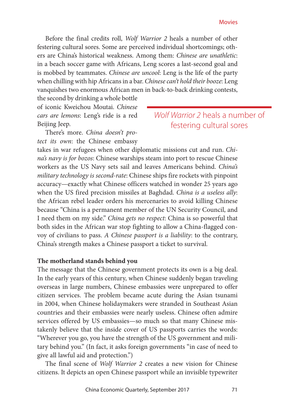Before the final credits roll, *Wolf Warrior 2* heals a number of other festering cultural sores. Some are perceived individual shortcomings; others are China's historical weakness. Among them: *Chinese are unathletic*: in a beach soccer game with Africans, Leng scores a last-second goal and is mobbed by teammates. *Chinese are uncool*: Leng is the life of the party when chilling with hip Africans in a bar. *Chinese can't hold their booze*: Leng vanquishes two enormous African men in back-to-back drinking contests,

the second by drinking a whole bottle of iconic Kweichou Moutai. *Chinese cars are lemons*: Leng's ride is a red Beijing Jeep.

There's more. *China doesn't protect its own*: the Chinese embassy

## *Wolf Warrior 2* heals a number of festering cultural sores

takes in war refugees when other diplomatic missions cut and run. *China's navy is for bozos*: Chinese warships steam into port to rescue Chinese workers as the US Navy sets sail and leaves Americans behind. *China's military technology is second-rate*: Chinese ships fire rockets with pinpoint accuracy—exactly what Chinese officers watched in wonder 25 years ago when the US fired precision missiles at Baghdad. *China is a useless ally*: the African rebel leader orders his mercenaries to avoid killing Chinese because "China is a permanent member of the UN Security Council, and I need them on my side." *China gets no respect*: China is so powerful that both sides in the African war stop fighting to allow a China-flagged convoy of civilians to pass. *A Chinese passport is a liability*: to the contrary, China's strength makes a Chinese passport a ticket to survival.

### **The motherland stands behind you**

The message that the Chinese government protects its own is a big deal. In the early years of this century, when Chinese suddenly began traveling overseas in large numbers, Chinese embassies were unprepared to offer citizen services. The problem became acute during the Asian tsunami in 2004, when Chinese holidaymakers were stranded in Southeast Asian countries and their embassies were nearly useless. Chinese often admire services offered by US embassies—so much so that many Chinese mistakenly believe that the inside cover of US passports carries the words: "Wherever you go, you have the strength of the US government and military behind you." (In fact, it asks foreign governments "in case of need to give all lawful aid and protection.")

The final scene of *Wolf Warrior 2* creates a new vision for Chinese citizens. It depicts an open Chinese passport while an invisible typewriter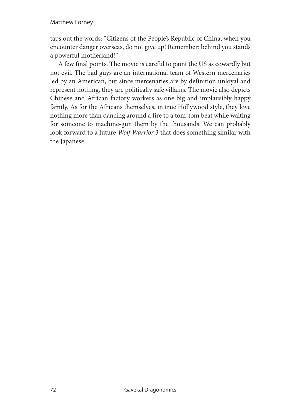## Matthew Forney

taps out the words: "Citizens of the People's Republic of China, when you encounter danger overseas, do not give up! Remember: behind you stands a powerful motherland!"

A few final points. The movie is careful to paint the US as cowardly but not evil. The bad guys are an international team of Western mercenaries led by an American, but since mercenaries are by definition unloyal and represent nothing, they are politically safe villains. The movie also depicts Chinese and African factory workers as one big and implausibly happy family. As for the Africans themselves, in true Hollywood style, they love nothing more than dancing around a fire to a tom-tom beat while waiting for someone to machine-gun them by the thousands. We can probably look forward to a future *Wolf Warrior 3* that does something similar with the Japanese.